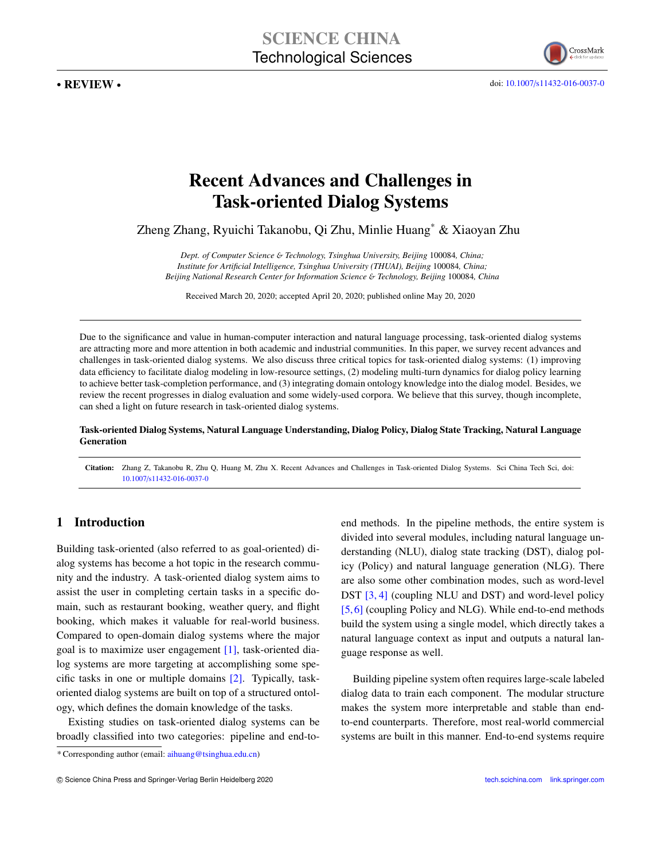. REVIEW .

doi: 10.1007/[s11432-016-0037-0](https://doi.org/10.1007/s11432-016-0037-0)

# Recent Advances and Challenges in Task-oriented Dialog Systems

Zheng Zhang, Ryuichi Takanobu, Qi Zhu, Minlie Huang\* & Xiaoyan Zhu

*Dept. of Computer Science* & *Technology, Tsinghua University, Beijing* 100084*, China; Institute for Artificial Intelligence, Tsinghua University (THUAI), Beijing* 100084*, China; Beijing National Research Center for Information Science* & *Technology, Beijing* 100084*, China*

Received March 20, 2020; accepted April 20, 2020; published online May 20, 2020

Due to the significance and value in human-computer interaction and natural language processing, task-oriented dialog systems are attracting more and more attention in both academic and industrial communities. In this paper, we survey recent advances and challenges in task-oriented dialog systems. We also discuss three critical topics for task-oriented dialog systems: (1) improving data efficiency to facilitate dialog modeling in low-resource settings, (2) modeling multi-turn dynamics for dialog policy learning to achieve better task-completion performance, and (3) integrating domain ontology knowledge into the dialog model. Besides, we review the recent progresses in dialog evaluation and some widely-used corpora. We believe that this survey, though incomplete, can shed a light on future research in task-oriented dialog systems.

Task-oriented Dialog Systems, Natural Language Understanding, Dialog Policy, Dialog State Tracking, Natural Language Generation

Citation: Zhang Z, Takanobu R, Zhu Q, Huang M, Zhu X. Recent Advances and Challenges in Task-oriented Dialog Systems. Sci China Tech Sci, doi: 10.1007/[s11432-016-0037-0](https://doi.org/10.1007/s11432-016-0037-0)

# 1 Introduction

Building task-oriented (also referred to as goal-oriented) dialog systems has become a hot topic in the research community and the industry. A task-oriented dialog system aims to assist the user in completing certain tasks in a specific domain, such as restaurant booking, weather query, and flight booking, which makes it valuable for real-world business. Compared to open-domain dialog systems where the major goal is to maximize user engagement [\[1\]](#page-14-0), task-oriented dialog systems are more targeting at accomplishing some specific tasks in one or multiple domains [\[2\]](#page-14-1). Typically, taskoriented dialog systems are built on top of a structured ontology, which defines the domain knowledge of the tasks.

Existing studies on task-oriented dialog systems can be broadly classified into two categories: pipeline and end-to-

\* Corresponding author (email: aihuang@tsinghua.edu.cn)

end methods. In the pipeline methods, the entire system is divided into several modules, including natural language understanding (NLU), dialog state tracking (DST), dialog policy (Policy) and natural language generation (NLG). There are also some other combination modes, such as word-level DST [\[3,](#page-14-2) [4\]](#page-14-3) (coupling NLU and DST) and word-level policy [\[5,](#page-14-4)[6\]](#page-14-5) (coupling Policy and NLG). While end-to-end methods build the system using a single model, which directly takes a natural language context as input and outputs a natural language response as well.

Building pipeline system often requires large-scale labeled dialog data to train each component. The modular structure makes the system more interpretable and stable than endto-end counterparts. Therefore, most real-world commercial systems are built in this manner. End-to-end systems require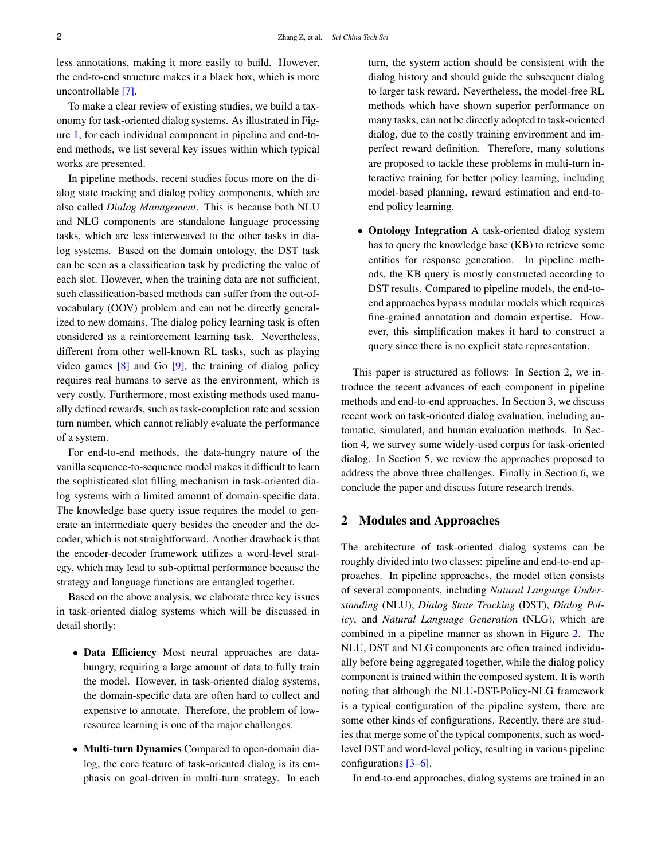less annotations, making it more easily to build. However, the end-to-end structure makes it a black box, which is more uncontrollable [\[7\]](#page-14-6).

To make a clear review of existing studies, we build a taxonomy for task-oriented dialog systems. As illustrated in Figure [1,](#page-2-0) for each individual component in pipeline and end-toend methods, we list several key issues within which typical works are presented.

In pipeline methods, recent studies focus more on the dialog state tracking and dialog policy components, which are also called *Dialog Management*. This is because both NLU and NLG components are standalone language processing tasks, which are less interweaved to the other tasks in dialog systems. Based on the domain ontology, the DST task can be seen as a classification task by predicting the value of each slot. However, when the training data are not sufficient, such classification-based methods can suffer from the out-ofvocabulary (OOV) problem and can not be directly generalized to new domains. The dialog policy learning task is often considered as a reinforcement learning task. Nevertheless, different from other well-known RL tasks, such as playing video games  $[8]$  and Go  $[9]$ , the training of dialog policy requires real humans to serve as the environment, which is very costly. Furthermore, most existing methods used manually defined rewards, such as task-completion rate and session turn number, which cannot reliably evaluate the performance of a system.

For end-to-end methods, the data-hungry nature of the vanilla sequence-to-sequence model makes it difficult to learn the sophisticated slot filling mechanism in task-oriented dialog systems with a limited amount of domain-specific data. The knowledge base query issue requires the model to generate an intermediate query besides the encoder and the decoder, which is not straightforward. Another drawback is that the encoder-decoder framework utilizes a word-level strategy, which may lead to sub-optimal performance because the strategy and language functions are entangled together.

Based on the above analysis, we elaborate three key issues in task-oriented dialog systems which will be discussed in detail shortly:

- Data Efficiency Most neural approaches are datahungry, requiring a large amount of data to fully train the model. However, in task-oriented dialog systems, the domain-specific data are often hard to collect and expensive to annotate. Therefore, the problem of lowresource learning is one of the major challenges.
- Multi-turn Dynamics Compared to open-domain dialog, the core feature of task-oriented dialog is its emphasis on goal-driven in multi-turn strategy. In each

turn, the system action should be consistent with the dialog history and should guide the subsequent dialog to larger task reward. Nevertheless, the model-free RL methods which have shown superior performance on many tasks, can not be directly adopted to task-oriented dialog, due to the costly training environment and imperfect reward definition. Therefore, many solutions are proposed to tackle these problems in multi-turn interactive training for better policy learning, including model-based planning, reward estimation and end-toend policy learning.

• Ontology Integration A task-oriented dialog system has to query the knowledge base (KB) to retrieve some entities for response generation. In pipeline methods, the KB query is mostly constructed according to DST results. Compared to pipeline models, the end-toend approaches bypass modular models which requires fine-grained annotation and domain expertise. However, this simplification makes it hard to construct a query since there is no explicit state representation.

This paper is structured as follows: In Section 2, we introduce the recent advances of each component in pipeline methods and end-to-end approaches. In Section 3, we discuss recent work on task-oriented dialog evaluation, including automatic, simulated, and human evaluation methods. In Section 4, we survey some widely-used corpus for task-oriented dialog. In Section 5, we review the approaches proposed to address the above three challenges. Finally in Section 6, we conclude the paper and discuss future research trends.

## 2 Modules and Approaches

The architecture of task-oriented dialog systems can be roughly divided into two classes: pipeline and end-to-end approaches. In pipeline approaches, the model often consists of several components, including *Natural Language Understanding* (NLU), *Dialog State Tracking* (DST), *Dialog Policy*, and *Natural Language Generation* (NLG), which are combined in a pipeline manner as shown in Figure [2.](#page-3-0) The NLU, DST and NLG components are often trained individually before being aggregated together, while the dialog policy component is trained within the composed system. It is worth noting that although the NLU-DST-Policy-NLG framework is a typical configuration of the pipeline system, there are some other kinds of configurations. Recently, there are studies that merge some of the typical components, such as wordlevel DST and word-level policy, resulting in various pipeline configurations [\[3](#page-14-2)[–6\]](#page-14-5).

In end-to-end approaches, dialog systems are trained in an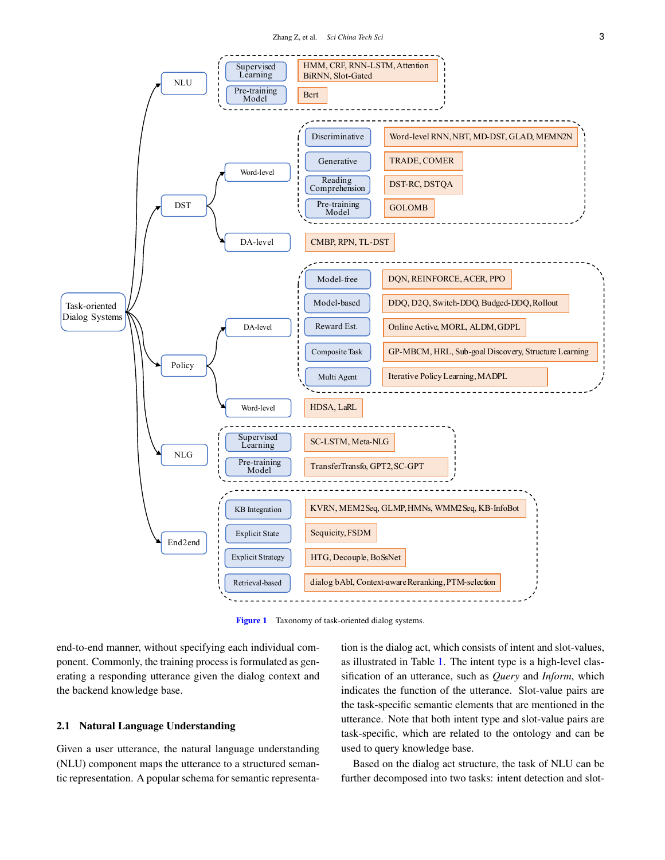

<span id="page-2-0"></span>Figure 1 Taxonomy of task-oriented dialog systems.

end-to-end manner, without specifying each individual component. Commonly, the training process is formulated as generating a responding utterance given the dialog context and the backend knowledge base.

#### 2.1 Natural Language Understanding

Given a user utterance, the natural language understanding (NLU) component maps the utterance to a structured semantic representation. A popular schema for semantic representation is the dialog act, which consists of intent and slot-values, as illustrated in Table [1.](#page-4-0) The intent type is a high-level classification of an utterance, such as *Query* and *Inform*, which indicates the function of the utterance. Slot-value pairs are the task-specific semantic elements that are mentioned in the utterance. Note that both intent type and slot-value pairs are task-specific, which are related to the ontology and can be used to query knowledge base.

Based on the dialog act structure, the task of NLU can be further decomposed into two tasks: intent detection and slot-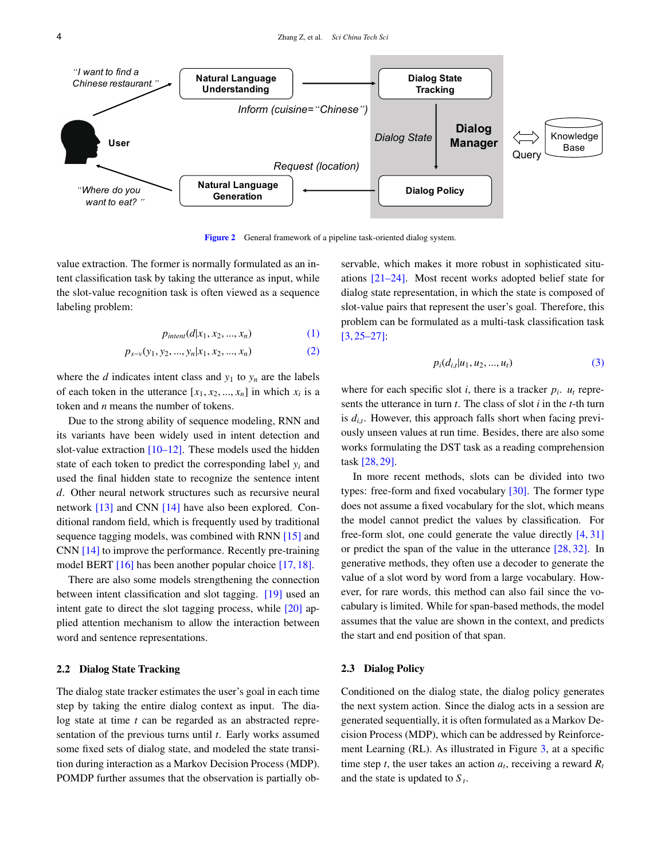

<span id="page-3-0"></span>Figure 2 General framework of a pipeline task-oriented dialog system.

value extraction. The former is normally formulated as an intent classification task by taking the utterance as input, while the slot-value recognition task is often viewed as a sequence labeling problem:

$$
p_{\text{intent}}(d|x_1, x_2, ..., x_n) \tag{1}
$$

$$
p_{s-v}(y_1, y_2, ..., y_n | x_1, x_2, ..., x_n)
$$
 (2)

where the *d* indicates intent class and  $y_1$  to  $y_n$  are the labels of each token in the utterance  $[x_1, x_2, ..., x_n]$  in which  $x_i$  is a taken and *n* means the number of takens. token and *n* means the number of tokens.

Due to the strong ability of sequence modeling, RNN and its variants have been widely used in intent detection and slot-value extraction  $[10-12]$  $[10-12]$ . These models used the hidden state of each token to predict the corresponding label *y<sup>i</sup>* and used the final hidden state to recognize the sentence intent *d*. Other neural network structures such as recursive neural network [\[13\]](#page-14-11) and CNN [\[14\]](#page-14-12) have also been explored. Conditional random field, which is frequently used by traditional sequence tagging models, was combined with RNN [\[15\]](#page-14-13) and CNN [\[14\]](#page-14-12) to improve the performance. Recently pre-training model BERT [\[16\]](#page-14-14) has been another popular choice [\[17,](#page-14-15) [18\]](#page-14-16).

There are also some models strengthening the connection between intent classification and slot tagging. [\[19\]](#page-14-17) used an intent gate to direct the slot tagging process, while [\[20\]](#page-14-18) applied attention mechanism to allow the interaction between word and sentence representations.

#### 2.2 Dialog State Tracking

The dialog state tracker estimates the user's goal in each time step by taking the entire dialog context as input. The dialog state at time *t* can be regarded as an abstracted representation of the previous turns until *t*. Early works assumed some fixed sets of dialog state, and modeled the state transition during interaction as a Markov Decision Process (MDP). POMDP further assumes that the observation is partially observable, which makes it more robust in sophisticated situations [\[21–](#page-14-19)[24\]](#page-14-20). Most recent works adopted belief state for dialog state representation, in which the state is composed of slot-value pairs that represent the user's goal. Therefore, this problem can be formulated as a multi-task classification task [\[3,](#page-14-2) [25](#page-14-21)[–27\]](#page-14-22):

$$
p_i(d_{i,t}|u_1, u_2, ..., u_t)
$$
 (3)

where for each specific slot *i*, there is a tracker  $p_i$ .  $u_t$  represents the utterance in turn *t*. The class of slot *i* in the *t*-th turn is  $d_{i,t}$ . However, this approach falls short when facing previously unseen values at run time. Besides, there are also some works formulating the DST task as a reading comprehension task [\[28,](#page-14-23) [29\]](#page-15-0).

In more recent methods, slots can be divided into two types: free-form and fixed vocabulary  $[30]$ . The former type does not assume a fixed vocabulary for the slot, which means the model cannot predict the values by classification. For free-form slot, one could generate the value directly [\[4,](#page-14-3) [31\]](#page-15-2) or predict the span of the value in the utterance [\[28,](#page-14-23) [32\]](#page-15-3). In generative methods, they often use a decoder to generate the value of a slot word by word from a large vocabulary. However, for rare words, this method can also fail since the vocabulary is limited. While for span-based methods, the model assumes that the value are shown in the context, and predicts the start and end position of that span.

#### 2.3 Dialog Policy

Conditioned on the dialog state, the dialog policy generates the next system action. Since the dialog acts in a session are generated sequentially, it is often formulated as a Markov Decision Process (MDP), which can be addressed by Reinforcement Learning (RL). As illustrated in Figure [3,](#page-4-1) at a specific time step *t*, the user takes an action  $a_t$ , receiving a reward  $R_t$ and the state is updated to *S <sup>t</sup>* .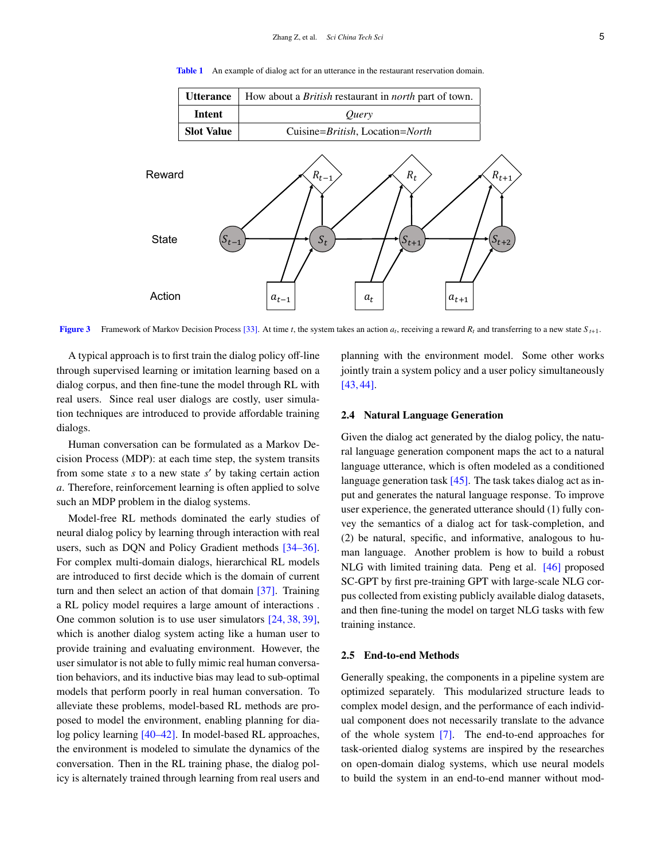

<span id="page-4-0"></span>Table 1 An example of dialog act for an utterance in the restaurant reservation domain.

<span id="page-4-1"></span>**Figure 3** Framework of Markov Decision Process [\[33\]](#page-15-4). At time *t*, the system takes an action  $a_t$ , receiving a reward  $R_t$  and transferring to a new state  $S_{t+1}$ .

A typical approach is to first train the dialog policy off-line through supervised learning or imitation learning based on a dialog corpus, and then fine-tune the model through RL with real users. Since real user dialogs are costly, user simulation techniques are introduced to provide affordable training dialogs.

Human conversation can be formulated as a Markov Decision Process (MDP): at each time step, the system transits from some state  $s$  to a new state  $s'$  by taking certain action *a*. Therefore, reinforcement learning is often applied to solve such an MDP problem in the dialog systems.

Model-free RL methods dominated the early studies of neural dialog policy by learning through interaction with real users, such as DQN and Policy Gradient methods [\[34–](#page-15-5)[36\]](#page-15-6). For complex multi-domain dialogs, hierarchical RL models are introduced to first decide which is the domain of current turn and then select an action of that domain [\[37\]](#page-15-7). Training a RL policy model requires a large amount of interactions . One common solution is to use user simulators [\[24,](#page-14-20) [38,](#page-15-8) [39\]](#page-15-9), which is another dialog system acting like a human user to provide training and evaluating environment. However, the user simulator is not able to fully mimic real human conversation behaviors, and its inductive bias may lead to sub-optimal models that perform poorly in real human conversation. To alleviate these problems, model-based RL methods are proposed to model the environment, enabling planning for dialog policy learning [\[40](#page-15-10)[–42\]](#page-15-11). In model-based RL approaches, the environment is modeled to simulate the dynamics of the conversation. Then in the RL training phase, the dialog policy is alternately trained through learning from real users and

planning with the environment model. Some other works jointly train a system policy and a user policy simultaneously [\[43,](#page-15-12) [44\]](#page-15-13).

#### 2.4 Natural Language Generation

Given the dialog act generated by the dialog policy, the natural language generation component maps the act to a natural language utterance, which is often modeled as a conditioned language generation task  $[45]$ . The task takes dialog act as input and generates the natural language response. To improve user experience, the generated utterance should (1) fully convey the semantics of a dialog act for task-completion, and (2) be natural, specific, and informative, analogous to human language. Another problem is how to build a robust NLG with limited training data. Peng et al. [\[46\]](#page-15-15) proposed SC-GPT by first pre-training GPT with large-scale NLG corpus collected from existing publicly available dialog datasets, and then fine-tuning the model on target NLG tasks with few training instance.

#### 2.5 End-to-end Methods

Generally speaking, the components in a pipeline system are optimized separately. This modularized structure leads to complex model design, and the performance of each individual component does not necessarily translate to the advance of the whole system [\[7\]](#page-14-6). The end-to-end approaches for task-oriented dialog systems are inspired by the researches on open-domain dialog systems, which use neural models to build the system in an end-to-end manner without mod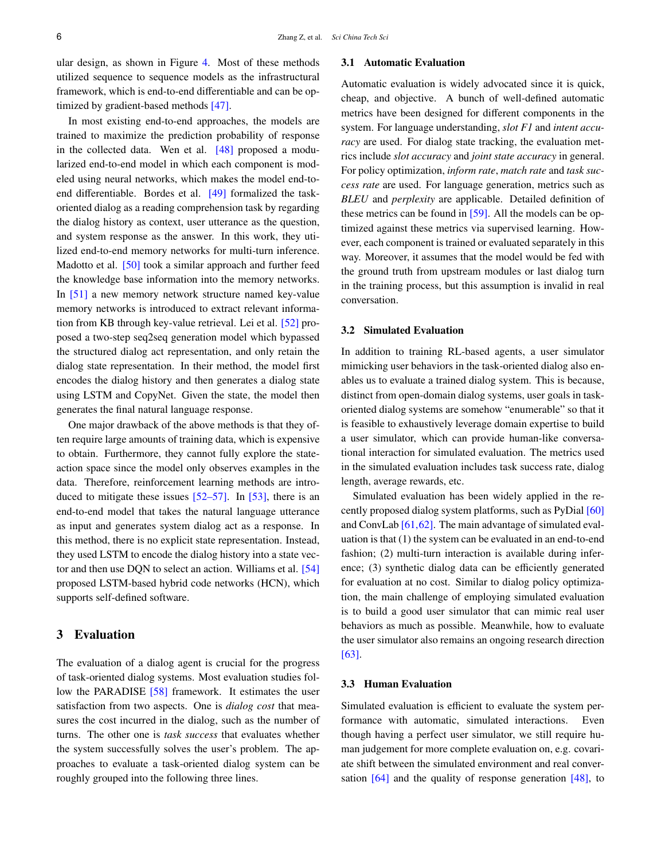ular design, as shown in Figure [4.](#page-6-0) Most of these methods utilized sequence to sequence models as the infrastructural framework, which is end-to-end differentiable and can be optimized by gradient-based methods [\[47\]](#page-15-16).

In most existing end-to-end approaches, the models are trained to maximize the prediction probability of response in the collected data. Wen et al. [\[48\]](#page-15-17) proposed a modularized end-to-end model in which each component is modeled using neural networks, which makes the model end-toend differentiable. Bordes et al. [\[49\]](#page-15-18) formalized the taskoriented dialog as a reading comprehension task by regarding the dialog history as context, user utterance as the question, and system response as the answer. In this work, they utilized end-to-end memory networks for multi-turn inference. Madotto et al. [\[50\]](#page-15-19) took a similar approach and further feed the knowledge base information into the memory networks. In [\[51\]](#page-15-20) a new memory network structure named key-value memory networks is introduced to extract relevant information from KB through key-value retrieval. Lei et al. [\[52\]](#page-15-21) proposed a two-step seq2seq generation model which bypassed the structured dialog act representation, and only retain the dialog state representation. In their method, the model first encodes the dialog history and then generates a dialog state using LSTM and CopyNet. Given the state, the model then generates the final natural language response.

One major drawback of the above methods is that they often require large amounts of training data, which is expensive to obtain. Furthermore, they cannot fully explore the stateaction space since the model only observes examples in the data. Therefore, reinforcement learning methods are introduced to mitigate these issues  $[52-57]$  $[52-57]$ . In  $[53]$ , there is an end-to-end model that takes the natural language utterance as input and generates system dialog act as a response. In this method, there is no explicit state representation. Instead, they used LSTM to encode the dialog history into a state vector and then use DQN to select an action. Williams et al. [\[54\]](#page-15-24) proposed LSTM-based hybrid code networks (HCN), which supports self-defined software.

## 3 Evaluation

The evaluation of a dialog agent is crucial for the progress of task-oriented dialog systems. Most evaluation studies fol-low the PARADISE [\[58\]](#page-15-25) framework. It estimates the user satisfaction from two aspects. One is *dialog cost* that measures the cost incurred in the dialog, such as the number of turns. The other one is *task success* that evaluates whether the system successfully solves the user's problem. The approaches to evaluate a task-oriented dialog system can be roughly grouped into the following three lines.

#### 3.1 Automatic Evaluation

Automatic evaluation is widely advocated since it is quick, cheap, and objective. A bunch of well-defined automatic metrics have been designed for different components in the system. For language understanding, *slot F1* and *intent accuracy* are used. For dialog state tracking, the evaluation metrics include *slot accuracy* and *joint state accuracy* in general. For policy optimization, *inform rate*, *match rate* and *task success rate* are used. For language generation, metrics such as *BLEU* and *perplexity* are applicable. Detailed definition of these metrics can be found in [\[59\]](#page-16-0). All the models can be optimized against these metrics via supervised learning. However, each component is trained or evaluated separately in this way. Moreover, it assumes that the model would be fed with the ground truth from upstream modules or last dialog turn in the training process, but this assumption is invalid in real conversation.

## 3.2 Simulated Evaluation

In addition to training RL-based agents, a user simulator mimicking user behaviors in the task-oriented dialog also enables us to evaluate a trained dialog system. This is because, distinct from open-domain dialog systems, user goals in taskoriented dialog systems are somehow "enumerable" so that it is feasible to exhaustively leverage domain expertise to build a user simulator, which can provide human-like conversational interaction for simulated evaluation. The metrics used in the simulated evaluation includes task success rate, dialog length, average rewards, etc.

Simulated evaluation has been widely applied in the recently proposed dialog system platforms, such as PyDial [\[60\]](#page-16-1) and ConvLab [\[61,](#page-16-2)[62\]](#page-16-3). The main advantage of simulated evaluation is that (1) the system can be evaluated in an end-to-end fashion; (2) multi-turn interaction is available during inference; (3) synthetic dialog data can be efficiently generated for evaluation at no cost. Similar to dialog policy optimization, the main challenge of employing simulated evaluation is to build a good user simulator that can mimic real user behaviors as much as possible. Meanwhile, how to evaluate the user simulator also remains an ongoing research direction [\[63\]](#page-16-4).

#### 3.3 Human Evaluation

Simulated evaluation is efficient to evaluate the system performance with automatic, simulated interactions. Even though having a perfect user simulator, we still require human judgement for more complete evaluation on, e.g. covariate shift between the simulated environment and real conversation  $[64]$  and the quality of response generation  $[48]$ , to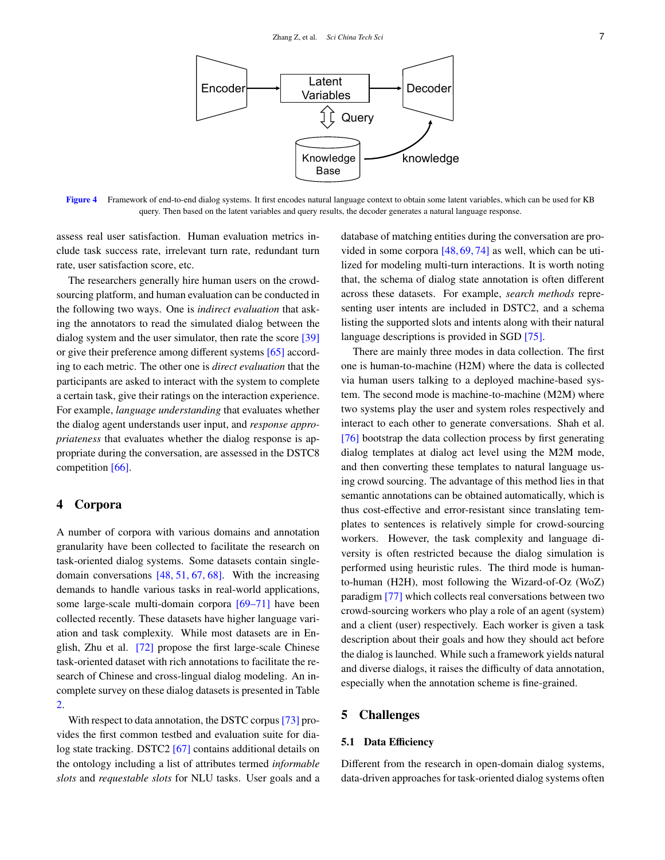

<span id="page-6-0"></span>Figure 4 Framework of end-to-end dialog systems. It first encodes natural language context to obtain some latent variables, which can be used for KB query. Then based on the latent variables and query results, the decoder generates a natural language response.

assess real user satisfaction. Human evaluation metrics include task success rate, irrelevant turn rate, redundant turn rate, user satisfaction score, etc.

The researchers generally hire human users on the crowdsourcing platform, and human evaluation can be conducted in the following two ways. One is *indirect evaluation* that asking the annotators to read the simulated dialog between the dialog system and the user simulator, then rate the score [\[39\]](#page-15-9) or give their preference among different systems [\[65\]](#page-16-6) according to each metric. The other one is *direct evaluation* that the participants are asked to interact with the system to complete a certain task, give their ratings on the interaction experience. For example, *language understanding* that evaluates whether the dialog agent understands user input, and *response appropriateness* that evaluates whether the dialog response is appropriate during the conversation, are assessed in the DSTC8 competition [\[66\]](#page-16-7).

## 4 Corpora

A number of corpora with various domains and annotation granularity have been collected to facilitate the research on task-oriented dialog systems. Some datasets contain singledomain conversations [\[48,](#page-15-17) [51,](#page-15-20) [67,](#page-16-8) [68\]](#page-16-9). With the increasing demands to handle various tasks in real-world applications, some large-scale multi-domain corpora [\[69–](#page-16-10)[71\]](#page-16-11) have been collected recently. These datasets have higher language variation and task complexity. While most datasets are in English, Zhu et al. [\[72\]](#page-16-12) propose the first large-scale Chinese task-oriented dataset with rich annotations to facilitate the research of Chinese and cross-lingual dialog modeling. An incomplete survey on these dialog datasets is presented in Table [2.](#page-7-0)

With respect to data annotation, the DSTC corpus [\[73\]](#page-16-13) provides the first common testbed and evaluation suite for dia-log state tracking. DSTC2 [\[67\]](#page-16-8) contains additional details on the ontology including a list of attributes termed *informable slots* and *requestable slots* for NLU tasks. User goals and a database of matching entities during the conversation are provided in some corpora [\[48,](#page-15-17) [69,](#page-16-10) [74\]](#page-16-14) as well, which can be utilized for modeling multi-turn interactions. It is worth noting that, the schema of dialog state annotation is often different across these datasets. For example, *search methods* representing user intents are included in DSTC2, and a schema listing the supported slots and intents along with their natural language descriptions is provided in SGD [\[75\]](#page-16-15).

There are mainly three modes in data collection. The first one is human-to-machine (H2M) where the data is collected via human users talking to a deployed machine-based system. The second mode is machine-to-machine (M2M) where two systems play the user and system roles respectively and interact to each other to generate conversations. Shah et al. [\[76\]](#page-16-16) bootstrap the data collection process by first generating dialog templates at dialog act level using the M2M mode, and then converting these templates to natural language using crowd sourcing. The advantage of this method lies in that semantic annotations can be obtained automatically, which is thus cost-effective and error-resistant since translating templates to sentences is relatively simple for crowd-sourcing workers. However, the task complexity and language diversity is often restricted because the dialog simulation is performed using heuristic rules. The third mode is humanto-human (H2H), most following the Wizard-of-Oz (WoZ) paradigm [\[77\]](#page-16-17) which collects real conversations between two crowd-sourcing workers who play a role of an agent (system) and a client (user) respectively. Each worker is given a task description about their goals and how they should act before the dialog is launched. While such a framework yields natural and diverse dialogs, it raises the difficulty of data annotation, especially when the annotation scheme is fine-grained.

## 5 Challenges

#### 5.1 Data Efficiency

Different from the research in open-domain dialog systems, data-driven approaches for task-oriented dialog systems often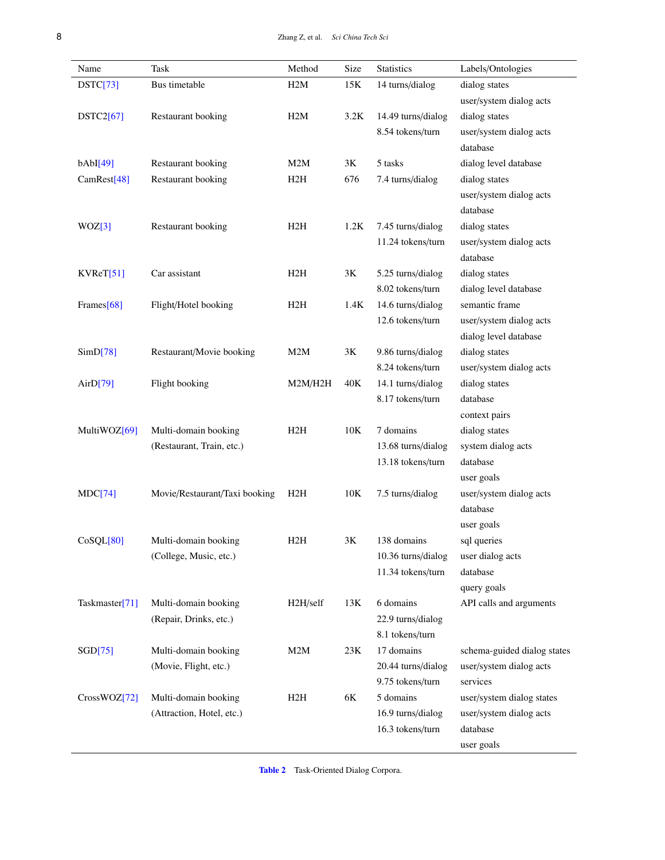| Name                       | Task                          | Method   | Size | Statistics         | Labels/Ontologies           |
|----------------------------|-------------------------------|----------|------|--------------------|-----------------------------|
| DSTC[73]                   | Bus timetable                 | H2M      | 15K  | 14 turns/dialog    | dialog states               |
|                            |                               |          |      |                    | user/system dialog acts     |
| DSTC2[67]                  | Restaurant booking            | H2M      | 3.2K | 14.49 turns/dialog | dialog states               |
|                            |                               |          |      | 8.54 tokens/turn   | user/system dialog acts     |
|                            |                               |          |      |                    | database                    |
| bAbI[49]                   | Restaurant booking            | M2M      | 3K   | 5 tasks            | dialog level database       |
| CamRest[48]                | Restaurant booking            | H2H      | 676  | 7.4 turns/dialog   | dialog states               |
|                            |                               |          |      |                    | user/system dialog acts     |
|                            |                               |          |      |                    | database                    |
| WOZ[3]                     | Restaurant booking            | H2H      | 1.2K | 7.45 turns/dialog  | dialog states               |
|                            |                               |          |      | 11.24 tokens/turn  | user/system dialog acts     |
|                            |                               |          |      |                    | database                    |
| KVReT[51]                  | Car assistant                 | H2H      | 3K   | 5.25 turns/dialog  | dialog states               |
|                            |                               |          |      | 8.02 tokens/turn   | dialog level database       |
| Frames[68]                 | Flight/Hotel booking          | H2H      | 1.4K | 14.6 turns/dialog  | semantic frame              |
|                            |                               |          |      | 12.6 tokens/turn   | user/system dialog acts     |
|                            |                               |          |      |                    | dialog level database       |
| SimD[78]                   | Restaurant/Movie booking      | M2M      | 3K   | 9.86 turns/dialog  | dialog states               |
|                            |                               |          |      | 8.24 tokens/turn   | user/system dialog acts     |
| Air $D[79]$                | Flight booking                | M2M/H2H  | 40K  | 14.1 turns/dialog  | dialog states               |
|                            |                               |          |      | 8.17 tokens/turn   | database                    |
|                            |                               |          |      |                    | context pairs               |
| MultiWOZ[69]               | Multi-domain booking          | H2H      | 10K  | 7 domains          | dialog states               |
|                            | (Restaurant, Train, etc.)     |          |      | 13.68 turns/dialog | system dialog acts          |
|                            |                               |          |      | 13.18 tokens/turn  | database                    |
|                            |                               |          |      |                    |                             |
| MDC[74]<br>CoSQL[80]       |                               |          |      |                    | user goals                  |
|                            | Movie/Restaurant/Taxi booking | H2H      | 10K  | 7.5 turns/dialog   | user/system dialog acts     |
|                            |                               |          |      |                    | database                    |
|                            |                               |          |      |                    | user goals                  |
|                            | Multi-domain booking          | H2H      | 3K   | 138 domains        | sal queries                 |
|                            | (College, Music, etc.)        |          |      | 10.36 turns/dialog | user dialog acts            |
|                            |                               |          |      | 11.34 tokens/turn  | database                    |
|                            |                               |          |      |                    | query goals                 |
| Taskmaster <sup>[71]</sup> | Multi-domain booking          | H2H/self | 13K  | 6 domains          | API calls and arguments     |
|                            | (Repair, Drinks, etc.)        |          |      | 22.9 turns/dialog  |                             |
|                            |                               |          |      | 8.1 tokens/turn    |                             |
| SGD[75]                    | Multi-domain booking          | M2M      | 23K  | 17 domains         | schema-guided dialog states |
|                            | (Movie, Flight, etc.)         |          |      | 20.44 turns/dialog | user/system dialog acts     |
|                            |                               |          |      | 9.75 tokens/turn   | services                    |
| CrossWOZ[72]               | Multi-domain booking          | H2H      | 6K   | 5 domains          | user/system dialog states   |
|                            | (Attraction, Hotel, etc.)     |          |      | 16.9 turns/dialog  | user/system dialog acts     |
|                            |                               |          |      | 16.3 tokens/turn   | database                    |
|                            |                               |          |      |                    | user goals                  |

<span id="page-7-0"></span>Table 2 Task-Oriented Dialog Corpora.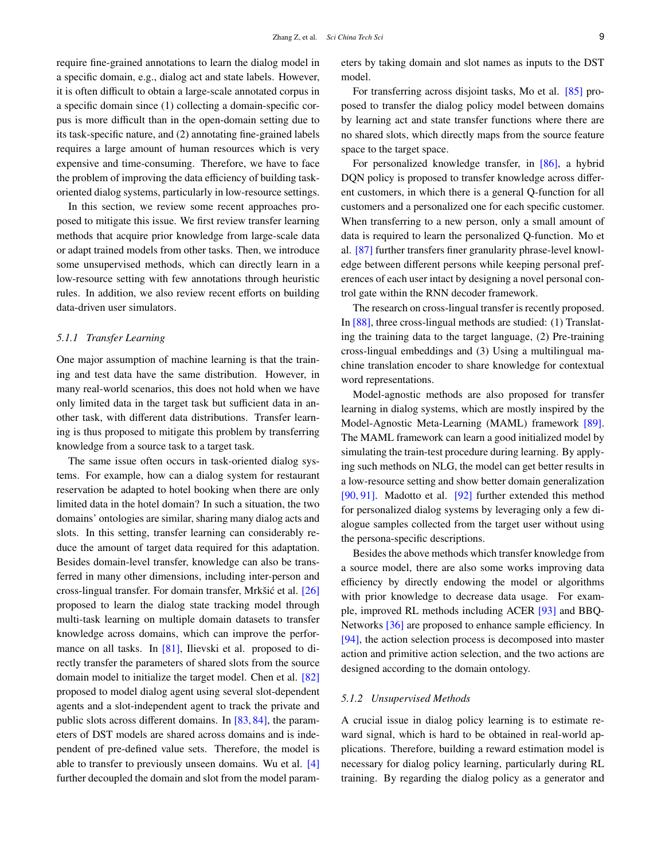require fine-grained annotations to learn the dialog model in a specific domain, e.g., dialog act and state labels. However, it is often difficult to obtain a large-scale annotated corpus in a specific domain since (1) collecting a domain-specific corpus is more difficult than in the open-domain setting due to its task-specific nature, and (2) annotating fine-grained labels requires a large amount of human resources which is very expensive and time-consuming. Therefore, we have to face the problem of improving the data efficiency of building taskoriented dialog systems, particularly in low-resource settings.

In this section, we review some recent approaches proposed to mitigate this issue. We first review transfer learning methods that acquire prior knowledge from large-scale data or adapt trained models from other tasks. Then, we introduce some unsupervised methods, which can directly learn in a low-resource setting with few annotations through heuristic rules. In addition, we also review recent efforts on building data-driven user simulators.

#### *5.1.1 Transfer Learning*

One major assumption of machine learning is that the training and test data have the same distribution. However, in many real-world scenarios, this does not hold when we have only limited data in the target task but sufficient data in another task, with different data distributions. Transfer learning is thus proposed to mitigate this problem by transferring knowledge from a source task to a target task.

The same issue often occurs in task-oriented dialog systems. For example, how can a dialog system for restaurant reservation be adapted to hotel booking when there are only limited data in the hotel domain? In such a situation, the two domains' ontologies are similar, sharing many dialog acts and slots. In this setting, transfer learning can considerably reduce the amount of target data required for this adaptation. Besides domain-level transfer, knowledge can also be transferred in many other dimensions, including inter-person and cross-lingual transfer. For domain transfer, Mrkšić et al. [\[26\]](#page-14-24) proposed to learn the dialog state tracking model through multi-task learning on multiple domain datasets to transfer knowledge across domains, which can improve the perfor-mance on all tasks. In [\[81\]](#page-16-21), Ilievski et al. proposed to directly transfer the parameters of shared slots from the source domain model to initialize the target model. Chen et al. [\[82\]](#page-16-22) proposed to model dialog agent using several slot-dependent agents and a slot-independent agent to track the private and public slots across different domains. In [\[83,](#page-16-23) [84\]](#page-16-24), the parameters of DST models are shared across domains and is independent of pre-defined value sets. Therefore, the model is able to transfer to previously unseen domains. Wu et al. [\[4\]](#page-14-3) further decoupled the domain and slot from the model parameters by taking domain and slot names as inputs to the DST model.

For transferring across disjoint tasks, Mo et al. [\[85\]](#page-16-25) proposed to transfer the dialog policy model between domains by learning act and state transfer functions where there are no shared slots, which directly maps from the source feature space to the target space.

For personalized knowledge transfer, in [\[86\]](#page-16-26), a hybrid DQN policy is proposed to transfer knowledge across different customers, in which there is a general Q-function for all customers and a personalized one for each specific customer. When transferring to a new person, only a small amount of data is required to learn the personalized Q-function. Mo et al. [\[87\]](#page-16-27) further transfers finer granularity phrase-level knowledge between different persons while keeping personal preferences of each user intact by designing a novel personal control gate within the RNN decoder framework.

The research on cross-lingual transfer is recently proposed. In [\[88\]](#page-17-0), three cross-lingual methods are studied: (1) Translating the training data to the target language, (2) Pre-training cross-lingual embeddings and (3) Using a multilingual machine translation encoder to share knowledge for contextual word representations.

Model-agnostic methods are also proposed for transfer learning in dialog systems, which are mostly inspired by the Model-Agnostic Meta-Learning (MAML) framework [\[89\]](#page-17-1). The MAML framework can learn a good initialized model by simulating the train-test procedure during learning. By applying such methods on NLG, the model can get better results in a low-resource setting and show better domain generalization [\[90,](#page-17-2) [91\]](#page-17-3). Madotto et al. [\[92\]](#page-17-4) further extended this method for personalized dialog systems by leveraging only a few dialogue samples collected from the target user without using the persona-specific descriptions.

Besides the above methods which transfer knowledge from a source model, there are also some works improving data efficiency by directly endowing the model or algorithms with prior knowledge to decrease data usage. For example, improved RL methods including ACER [\[93\]](#page-17-5) and BBQ-Networks [\[36\]](#page-15-6) are proposed to enhance sample efficiency. In [\[94\]](#page-17-6), the action selection process is decomposed into master action and primitive action selection, and the two actions are designed according to the domain ontology.

#### *5.1.2 Unsupervised Methods*

A crucial issue in dialog policy learning is to estimate reward signal, which is hard to be obtained in real-world applications. Therefore, building a reward estimation model is necessary for dialog policy learning, particularly during RL training. By regarding the dialog policy as a generator and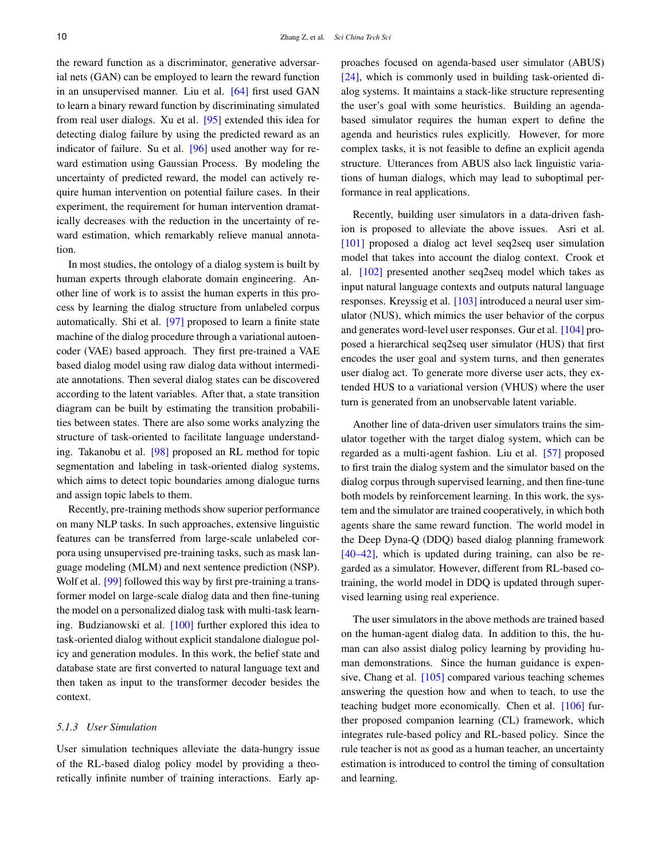the reward function as a discriminator, generative adversarial nets (GAN) can be employed to learn the reward function in an unsupervised manner. Liu et al. [\[64\]](#page-16-5) first used GAN to learn a binary reward function by discriminating simulated from real user dialogs. Xu et al. [\[95\]](#page-17-7) extended this idea for detecting dialog failure by using the predicted reward as an indicator of failure. Su et al. [\[96\]](#page-17-8) used another way for reward estimation using Gaussian Process. By modeling the uncertainty of predicted reward, the model can actively require human intervention on potential failure cases. In their experiment, the requirement for human intervention dramatically decreases with the reduction in the uncertainty of reward estimation, which remarkably relieve manual annotation.

In most studies, the ontology of a dialog system is built by human experts through elaborate domain engineering. Another line of work is to assist the human experts in this process by learning the dialog structure from unlabeled corpus automatically. Shi et al. [\[97\]](#page-17-9) proposed to learn a finite state machine of the dialog procedure through a variational autoencoder (VAE) based approach. They first pre-trained a VAE based dialog model using raw dialog data without intermediate annotations. Then several dialog states can be discovered according to the latent variables. After that, a state transition diagram can be built by estimating the transition probabilities between states. There are also some works analyzing the structure of task-oriented to facilitate language understanding. Takanobu et al. [\[98\]](#page-17-10) proposed an RL method for topic segmentation and labeling in task-oriented dialog systems, which aims to detect topic boundaries among dialogue turns and assign topic labels to them.

Recently, pre-training methods show superior performance on many NLP tasks. In such approaches, extensive linguistic features can be transferred from large-scale unlabeled corpora using unsupervised pre-training tasks, such as mask language modeling (MLM) and next sentence prediction (NSP). Wolf et al. [\[99\]](#page-17-11) followed this way by first pre-training a transformer model on large-scale dialog data and then fine-tuning the model on a personalized dialog task with multi-task learning. Budzianowski et al. [\[100\]](#page-17-12) further explored this idea to task-oriented dialog without explicit standalone dialogue policy and generation modules. In this work, the belief state and database state are first converted to natural language text and then taken as input to the transformer decoder besides the context.

#### *5.1.3 User Simulation*

User simulation techniques alleviate the data-hungry issue of the RL-based dialog policy model by providing a theoretically infinite number of training interactions. Early approaches focused on agenda-based user simulator (ABUS) [\[24\]](#page-14-20), which is commonly used in building task-oriented dialog systems. It maintains a stack-like structure representing the user's goal with some heuristics. Building an agendabased simulator requires the human expert to define the agenda and heuristics rules explicitly. However, for more complex tasks, it is not feasible to define an explicit agenda structure. Utterances from ABUS also lack linguistic variations of human dialogs, which may lead to suboptimal performance in real applications.

Recently, building user simulators in a data-driven fashion is proposed to alleviate the above issues. Asri et al. [\[101\]](#page-17-13) proposed a dialog act level seq2seq user simulation model that takes into account the dialog context. Crook et al. [\[102\]](#page-17-14) presented another seq2seq model which takes as input natural language contexts and outputs natural language responses. Kreyssig et al. [\[103\]](#page-17-15) introduced a neural user simulator (NUS), which mimics the user behavior of the corpus and generates word-level user responses. Gur et al. [\[104\]](#page-17-16) proposed a hierarchical seq2seq user simulator (HUS) that first encodes the user goal and system turns, and then generates user dialog act. To generate more diverse user acts, they extended HUS to a variational version (VHUS) where the user turn is generated from an unobservable latent variable.

Another line of data-driven user simulators trains the simulator together with the target dialog system, which can be regarded as a multi-agent fashion. Liu et al. [\[57\]](#page-15-22) proposed to first train the dialog system and the simulator based on the dialog corpus through supervised learning, and then fine-tune both models by reinforcement learning. In this work, the system and the simulator are trained cooperatively, in which both agents share the same reward function. The world model in the Deep Dyna-Q (DDQ) based dialog planning framework [\[40–](#page-15-10)[42\]](#page-15-11), which is updated during training, can also be regarded as a simulator. However, different from RL-based cotraining, the world model in DDQ is updated through supervised learning using real experience.

The user simulators in the above methods are trained based on the human-agent dialog data. In addition to this, the human can also assist dialog policy learning by providing human demonstrations. Since the human guidance is expensive, Chang et al. [\[105\]](#page-17-17) compared various teaching schemes answering the question how and when to teach, to use the teaching budget more economically. Chen et al. [\[106\]](#page-17-18) further proposed companion learning (CL) framework, which integrates rule-based policy and RL-based policy. Since the rule teacher is not as good as a human teacher, an uncertainty estimation is introduced to control the timing of consultation and learning.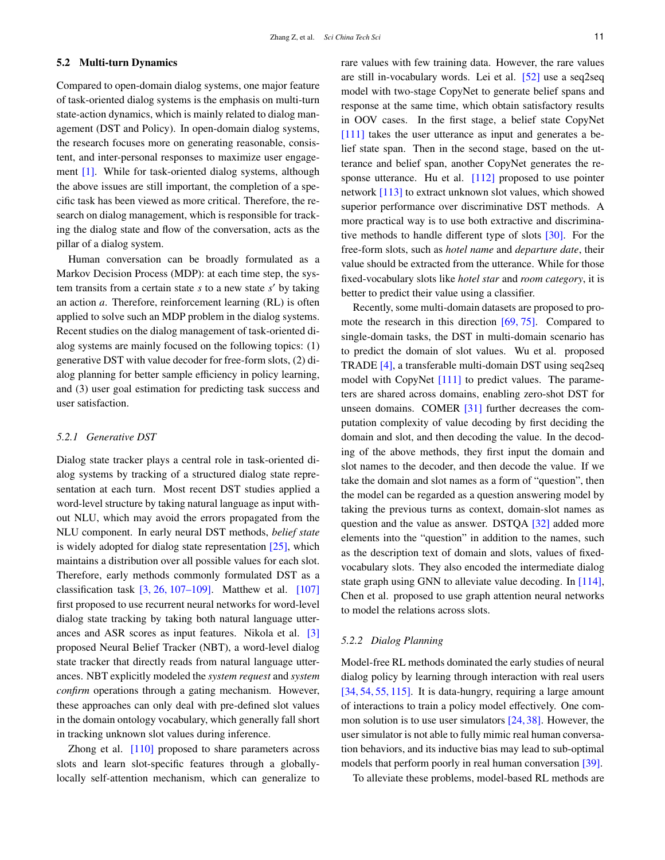## 5.2 Multi-turn Dynamics

Compared to open-domain dialog systems, one major feature of task-oriented dialog systems is the emphasis on multi-turn state-action dynamics, which is mainly related to dialog management (DST and Policy). In open-domain dialog systems, the research focuses more on generating reasonable, consistent, and inter-personal responses to maximize user engagement [\[1\]](#page-14-0). While for task-oriented dialog systems, although the above issues are still important, the completion of a specific task has been viewed as more critical. Therefore, the research on dialog management, which is responsible for tracking the dialog state and flow of the conversation, acts as the pillar of a dialog system.

Human conversation can be broadly formulated as a Markov Decision Process (MDP): at each time step, the system transits from a certain state *s* to a new state *s'* by taking an action *a*. Therefore, reinforcement learning (RL) is often applied to solve such an MDP problem in the dialog systems. Recent studies on the dialog management of task-oriented dialog systems are mainly focused on the following topics: (1) generative DST with value decoder for free-form slots, (2) dialog planning for better sample efficiency in policy learning, and (3) user goal estimation for predicting task success and user satisfaction.

## *5.2.1 Generative DST*

Dialog state tracker plays a central role in task-oriented dialog systems by tracking of a structured dialog state representation at each turn. Most recent DST studies applied a word-level structure by taking natural language as input without NLU, which may avoid the errors propagated from the NLU component. In early neural DST methods, *belief state* is widely adopted for dialog state representation [\[25\]](#page-14-21), which maintains a distribution over all possible values for each slot. Therefore, early methods commonly formulated DST as a classification task  $\left[3, 26, 107-109\right]$  $\left[3, 26, 107-109\right]$  $\left[3, 26, 107-109\right]$  $\left[3, 26, 107-109\right]$  $\left[3, 26, 107-109\right]$  $\left[3, 26, 107-109\right]$  $\left[3, 26, 107-109\right]$ . Matthew et al.  $\left[107\right]$ first proposed to use recurrent neural networks for word-level dialog state tracking by taking both natural language utterances and ASR scores as input features. Nikola et al. [\[3\]](#page-14-2) proposed Neural Belief Tracker (NBT), a word-level dialog state tracker that directly reads from natural language utterances. NBT explicitly modeled the *system request* and *system confirm* operations through a gating mechanism. However, these approaches can only deal with pre-defined slot values in the domain ontology vocabulary, which generally fall short in tracking unknown slot values during inference.

Zhong et al. [\[110\]](#page-17-21) proposed to share parameters across slots and learn slot-specific features through a globallylocally self-attention mechanism, which can generalize to rare values with few training data. However, the rare values are still in-vocabulary words. Lei et al. [\[52\]](#page-15-21) use a seq2seq model with two-stage CopyNet to generate belief spans and response at the same time, which obtain satisfactory results in OOV cases. In the first stage, a belief state CopyNet [\[111\]](#page-17-22) takes the user utterance as input and generates a belief state span. Then in the second stage, based on the utterance and belief span, another CopyNet generates the response utterance. Hu et al.  $[112]$  proposed to use pointer network [\[113\]](#page-17-24) to extract unknown slot values, which showed superior performance over discriminative DST methods. A more practical way is to use both extractive and discriminative methods to handle different type of slots [\[30\]](#page-15-1). For the free-form slots, such as *hotel name* and *departure date*, their value should be extracted from the utterance. While for those fixed-vocabulary slots like *hotel star* and *room category*, it is better to predict their value using a classifier.

Recently, some multi-domain datasets are proposed to promote the research in this direction [\[69,](#page-16-10) [75\]](#page-16-15). Compared to single-domain tasks, the DST in multi-domain scenario has to predict the domain of slot values. Wu et al. proposed TRADE [\[4\]](#page-14-3), a transferable multi-domain DST using seq2seq model with CopyNet [\[111\]](#page-17-22) to predict values. The parameters are shared across domains, enabling zero-shot DST for unseen domains. COMER [\[31\]](#page-15-2) further decreases the computation complexity of value decoding by first deciding the domain and slot, and then decoding the value. In the decoding of the above methods, they first input the domain and slot names to the decoder, and then decode the value. If we take the domain and slot names as a form of "question", then the model can be regarded as a question answering model by taking the previous turns as context, domain-slot names as question and the value as answer. DSTQA [\[32\]](#page-15-3) added more elements into the "question" in addition to the names, such as the description text of domain and slots, values of fixedvocabulary slots. They also encoded the intermediate dialog state graph using GNN to alleviate value decoding. In [\[114\]](#page-17-25), Chen et al. proposed to use graph attention neural networks to model the relations across slots.

#### *5.2.2 Dialog Planning*

Model-free RL methods dominated the early studies of neural dialog policy by learning through interaction with real users [\[34,](#page-15-5) [54,](#page-15-24) [55,](#page-15-26) [115\]](#page-17-26). It is data-hungry, requiring a large amount of interactions to train a policy model effectively. One common solution is to use user simulators [\[24,](#page-14-20) [38\]](#page-15-8). However, the user simulator is not able to fully mimic real human conversation behaviors, and its inductive bias may lead to sub-optimal models that perform poorly in real human conversation [\[39\]](#page-15-9).

To alleviate these problems, model-based RL methods are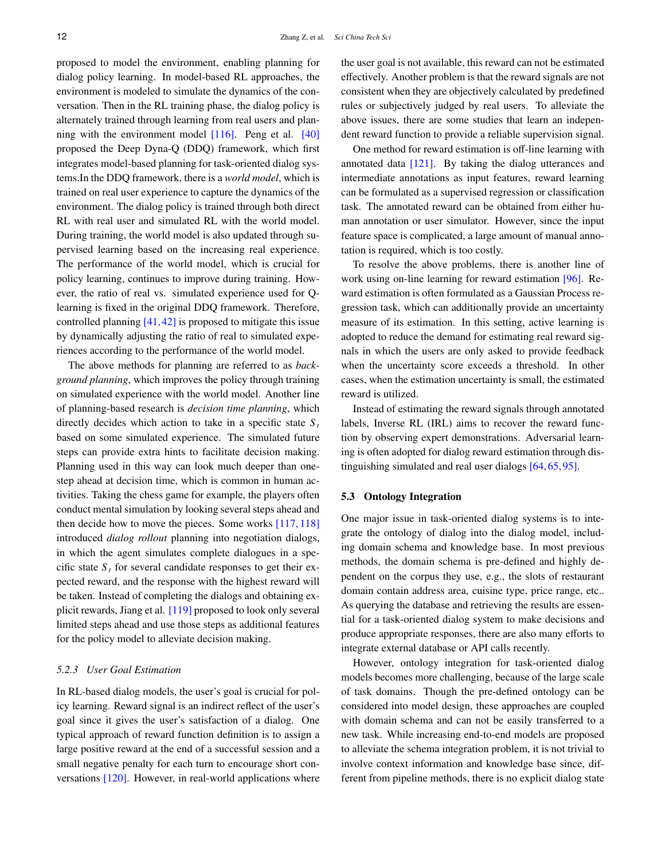proposed to model the environment, enabling planning for dialog policy learning. In model-based RL approaches, the environment is modeled to simulate the dynamics of the conversation. Then in the RL training phase, the dialog policy is alternately trained through learning from real users and planning with the environment model  $[116]$ . Peng et al.  $[40]$ proposed the Deep Dyna-Q (DDQ) framework, which first integrates model-based planning for task-oriented dialog systems.In the DDQ framework, there is a *world model*, which is trained on real user experience to capture the dynamics of the environment. The dialog policy is trained through both direct RL with real user and simulated RL with the world model. During training, the world model is also updated through supervised learning based on the increasing real experience. The performance of the world model, which is crucial for policy learning, continues to improve during training. However, the ratio of real vs. simulated experience used for Qlearning is fixed in the original DDQ framework. Therefore, controlled planning  $[41, 42]$  $[41, 42]$  $[41, 42]$  is proposed to mitigate this issue by dynamically adjusting the ratio of real to simulated experiences according to the performance of the world model.

The above methods for planning are referred to as *background planning*, which improves the policy through training on simulated experience with the world model. Another line of planning-based research is *decision time planning*, which directly decides which action to take in a specific state  $S_t$ based on some simulated experience. The simulated future steps can provide extra hints to facilitate decision making. Planning used in this way can look much deeper than onestep ahead at decision time, which is common in human activities. Taking the chess game for example, the players often conduct mental simulation by looking several steps ahead and then decide how to move the pieces. Some works [\[117,](#page-17-28) [118\]](#page-17-29) introduced *dialog rollout* planning into negotiation dialogs, in which the agent simulates complete dialogues in a specific state  $S_t$  for several candidate responses to get their expected reward, and the response with the highest reward will be taken. Instead of completing the dialogs and obtaining explicit rewards, Jiang et al. [\[119\]](#page-17-30) proposed to look only several limited steps ahead and use those steps as additional features for the policy model to alleviate decision making.

#### *5.2.3 User Goal Estimation*

In RL-based dialog models, the user's goal is crucial for policy learning. Reward signal is an indirect reflect of the user's goal since it gives the user's satisfaction of a dialog. One typical approach of reward function definition is to assign a large positive reward at the end of a successful session and a small negative penalty for each turn to encourage short conversations [\[120\]](#page-17-31). However, in real-world applications where the user goal is not available, this reward can not be estimated effectively. Another problem is that the reward signals are not consistent when they are objectively calculated by predefined rules or subjectively judged by real users. To alleviate the above issues, there are some studies that learn an independent reward function to provide a reliable supervision signal.

One method for reward estimation is off-line learning with annotated data [\[121\]](#page-17-32). By taking the dialog utterances and intermediate annotations as input features, reward learning can be formulated as a supervised regression or classification task. The annotated reward can be obtained from either human annotation or user simulator. However, since the input feature space is complicated, a large amount of manual annotation is required, which is too costly.

To resolve the above problems, there is another line of work using on-line learning for reward estimation [\[96\]](#page-17-8). Reward estimation is often formulated as a Gaussian Process regression task, which can additionally provide an uncertainty measure of its estimation. In this setting, active learning is adopted to reduce the demand for estimating real reward signals in which the users are only asked to provide feedback when the uncertainty score exceeds a threshold. In other cases, when the estimation uncertainty is small, the estimated reward is utilized.

Instead of estimating the reward signals through annotated labels, Inverse RL (IRL) aims to recover the reward function by observing expert demonstrations. Adversarial learning is often adopted for dialog reward estimation through distinguishing simulated and real user dialogs [\[64,](#page-16-5) [65,](#page-16-6) [95\]](#page-17-7).

## 5.3 Ontology Integration

One major issue in task-oriented dialog systems is to integrate the ontology of dialog into the dialog model, including domain schema and knowledge base. In most previous methods, the domain schema is pre-defined and highly dependent on the corpus they use, e.g., the slots of restaurant domain contain address area, cuisine type, price range, etc.. As querying the database and retrieving the results are essential for a task-oriented dialog system to make decisions and produce appropriate responses, there are also many efforts to integrate external database or API calls recently.

However, ontology integration for task-oriented dialog models becomes more challenging, because of the large scale of task domains. Though the pre-defined ontology can be considered into model design, these approaches are coupled with domain schema and can not be easily transferred to a new task. While increasing end-to-end models are proposed to alleviate the schema integration problem, it is not trivial to involve context information and knowledge base since, different from pipeline methods, there is no explicit dialog state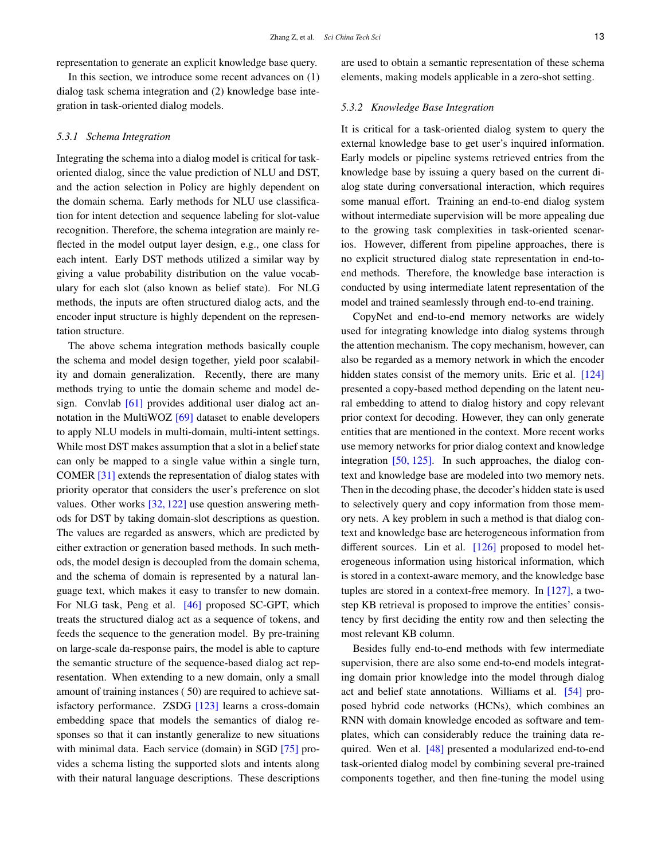representation to generate an explicit knowledge base query.

In this section, we introduce some recent advances on (1) dialog task schema integration and (2) knowledge base integration in task-oriented dialog models.

#### *5.3.1 Schema Integration*

Integrating the schema into a dialog model is critical for taskoriented dialog, since the value prediction of NLU and DST, and the action selection in Policy are highly dependent on the domain schema. Early methods for NLU use classification for intent detection and sequence labeling for slot-value recognition. Therefore, the schema integration are mainly reflected in the model output layer design, e.g., one class for each intent. Early DST methods utilized a similar way by giving a value probability distribution on the value vocabulary for each slot (also known as belief state). For NLG methods, the inputs are often structured dialog acts, and the encoder input structure is highly dependent on the representation structure.

The above schema integration methods basically couple the schema and model design together, yield poor scalability and domain generalization. Recently, there are many methods trying to untie the domain scheme and model design. Convlab [\[61\]](#page-16-2) provides additional user dialog act an-notation in the MultiWOZ [\[69\]](#page-16-10) dataset to enable developers to apply NLU models in multi-domain, multi-intent settings. While most DST makes assumption that a slot in a belief state can only be mapped to a single value within a single turn, COMER [\[31\]](#page-15-2) extends the representation of dialog states with priority operator that considers the user's preference on slot values. Other works [\[32,](#page-15-3) [122\]](#page-17-33) use question answering methods for DST by taking domain-slot descriptions as question. The values are regarded as answers, which are predicted by either extraction or generation based methods. In such methods, the model design is decoupled from the domain schema, and the schema of domain is represented by a natural language text, which makes it easy to transfer to new domain. For NLG task, Peng et al. [\[46\]](#page-15-15) proposed SC-GPT, which treats the structured dialog act as a sequence of tokens, and feeds the sequence to the generation model. By pre-training on large-scale da-response pairs, the model is able to capture the semantic structure of the sequence-based dialog act representation. When extending to a new domain, only a small amount of training instances ( 50) are required to achieve satisfactory performance. ZSDG [\[123\]](#page-18-0) learns a cross-domain embedding space that models the semantics of dialog responses so that it can instantly generalize to new situations with minimal data. Each service (domain) in SGD [\[75\]](#page-16-15) provides a schema listing the supported slots and intents along with their natural language descriptions. These descriptions

are used to obtain a semantic representation of these schema elements, making models applicable in a zero-shot setting.

#### *5.3.2 Knowledge Base Integration*

It is critical for a task-oriented dialog system to query the external knowledge base to get user's inquired information. Early models or pipeline systems retrieved entries from the knowledge base by issuing a query based on the current dialog state during conversational interaction, which requires some manual effort. Training an end-to-end dialog system without intermediate supervision will be more appealing due to the growing task complexities in task-oriented scenarios. However, different from pipeline approaches, there is no explicit structured dialog state representation in end-toend methods. Therefore, the knowledge base interaction is conducted by using intermediate latent representation of the model and trained seamlessly through end-to-end training.

CopyNet and end-to-end memory networks are widely used for integrating knowledge into dialog systems through the attention mechanism. The copy mechanism, however, can also be regarded as a memory network in which the encoder hidden states consist of the memory units. Eric et al. [\[124\]](#page-18-1) presented a copy-based method depending on the latent neural embedding to attend to dialog history and copy relevant prior context for decoding. However, they can only generate entities that are mentioned in the context. More recent works use memory networks for prior dialog context and knowledge integration [\[50,](#page-15-19) [125\]](#page-18-2). In such approaches, the dialog context and knowledge base are modeled into two memory nets. Then in the decoding phase, the decoder's hidden state is used to selectively query and copy information from those memory nets. A key problem in such a method is that dialog context and knowledge base are heterogeneous information from different sources. Lin et al. [\[126\]](#page-18-3) proposed to model heterogeneous information using historical information, which is stored in a context-aware memory, and the knowledge base tuples are stored in a context-free memory. In [\[127\]](#page-18-4), a twostep KB retrieval is proposed to improve the entities' consistency by first deciding the entity row and then selecting the most relevant KB column.

Besides fully end-to-end methods with few intermediate supervision, there are also some end-to-end models integrating domain prior knowledge into the model through dialog act and belief state annotations. Williams et al. [\[54\]](#page-15-24) proposed hybrid code networks (HCNs), which combines an RNN with domain knowledge encoded as software and templates, which can considerably reduce the training data re-quired. Wen et al. [\[48\]](#page-15-17) presented a modularized end-to-end task-oriented dialog model by combining several pre-trained components together, and then fine-tuning the model using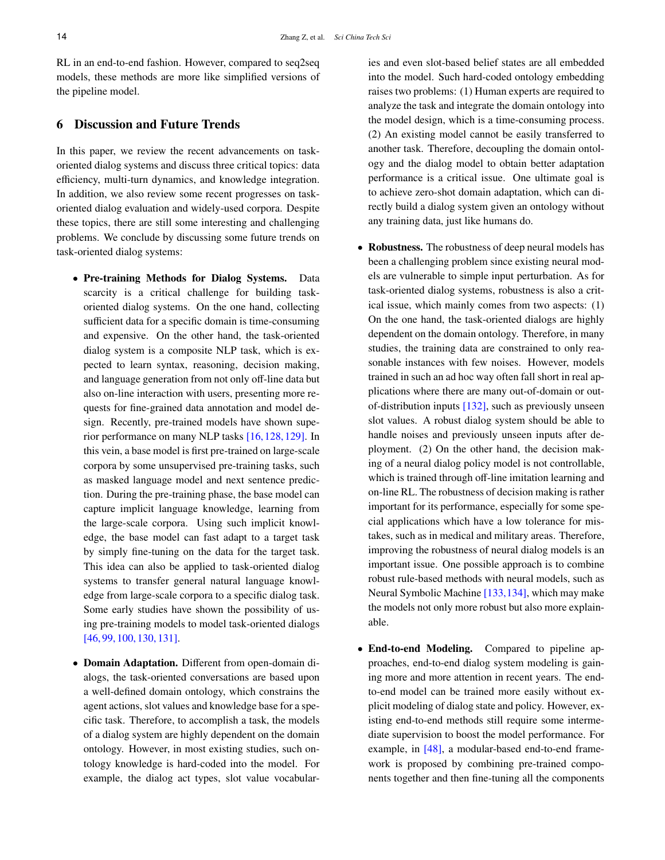RL in an end-to-end fashion. However, compared to seq2seq models, these methods are more like simplified versions of the pipeline model.

# 6 Discussion and Future Trends

In this paper, we review the recent advancements on taskoriented dialog systems and discuss three critical topics: data efficiency, multi-turn dynamics, and knowledge integration. In addition, we also review some recent progresses on taskoriented dialog evaluation and widely-used corpora. Despite these topics, there are still some interesting and challenging problems. We conclude by discussing some future trends on task-oriented dialog systems:

- Pre-training Methods for Dialog Systems. Data scarcity is a critical challenge for building taskoriented dialog systems. On the one hand, collecting sufficient data for a specific domain is time-consuming and expensive. On the other hand, the task-oriented dialog system is a composite NLP task, which is expected to learn syntax, reasoning, decision making, and language generation from not only off-line data but also on-line interaction with users, presenting more requests for fine-grained data annotation and model design. Recently, pre-trained models have shown superior performance on many NLP tasks [\[16,](#page-14-14)[128,](#page-18-5)[129\]](#page-18-6). In this vein, a base model is first pre-trained on large-scale corpora by some unsupervised pre-training tasks, such as masked language model and next sentence prediction. During the pre-training phase, the base model can capture implicit language knowledge, learning from the large-scale corpora. Using such implicit knowledge, the base model can fast adapt to a target task by simply fine-tuning on the data for the target task. This idea can also be applied to task-oriented dialog systems to transfer general natural language knowledge from large-scale corpora to a specific dialog task. Some early studies have shown the possibility of using pre-training models to model task-oriented dialogs [\[46,](#page-15-15) [99,](#page-17-11) [100,](#page-17-12) [130,](#page-18-7) [131\]](#page-18-8).
- Domain Adaptation. Different from open-domain dialogs, the task-oriented conversations are based upon a well-defined domain ontology, which constrains the agent actions, slot values and knowledge base for a specific task. Therefore, to accomplish a task, the models of a dialog system are highly dependent on the domain ontology. However, in most existing studies, such ontology knowledge is hard-coded into the model. For example, the dialog act types, slot value vocabular-

ies and even slot-based belief states are all embedded into the model. Such hard-coded ontology embedding raises two problems: (1) Human experts are required to analyze the task and integrate the domain ontology into the model design, which is a time-consuming process. (2) An existing model cannot be easily transferred to another task. Therefore, decoupling the domain ontology and the dialog model to obtain better adaptation performance is a critical issue. One ultimate goal is to achieve zero-shot domain adaptation, which can directly build a dialog system given an ontology without any training data, just like humans do.

- Robustness. The robustness of deep neural models has been a challenging problem since existing neural models are vulnerable to simple input perturbation. As for task-oriented dialog systems, robustness is also a critical issue, which mainly comes from two aspects: (1) On the one hand, the task-oriented dialogs are highly dependent on the domain ontology. Therefore, in many studies, the training data are constrained to only reasonable instances with few noises. However, models trained in such an ad hoc way often fall short in real applications where there are many out-of-domain or outof-distribution inputs [\[132\]](#page-18-9), such as previously unseen slot values. A robust dialog system should be able to handle noises and previously unseen inputs after deployment. (2) On the other hand, the decision making of a neural dialog policy model is not controllable, which is trained through off-line imitation learning and on-line RL. The robustness of decision making is rather important for its performance, especially for some special applications which have a low tolerance for mistakes, such as in medical and military areas. Therefore, improving the robustness of neural dialog models is an important issue. One possible approach is to combine robust rule-based methods with neural models, such as Neural Symbolic Machine [\[133,](#page-18-10)[134\]](#page-18-11), which may make the models not only more robust but also more explainable.
- End-to-end Modeling. Compared to pipeline approaches, end-to-end dialog system modeling is gaining more and more attention in recent years. The endto-end model can be trained more easily without explicit modeling of dialog state and policy. However, existing end-to-end methods still require some intermediate supervision to boost the model performance. For example, in [\[48\]](#page-15-17), a modular-based end-to-end framework is proposed by combining pre-trained components together and then fine-tuning all the components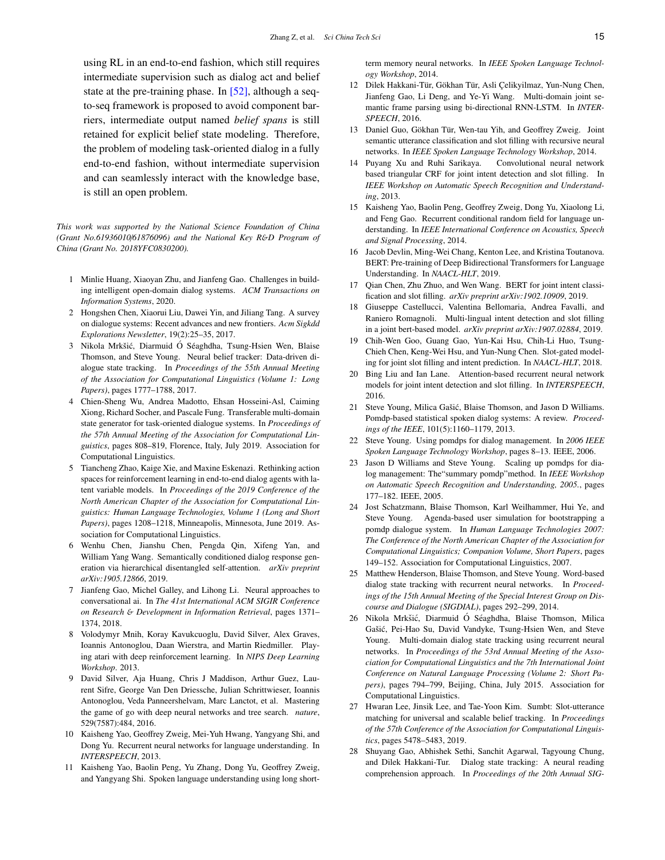using RL in an end-to-end fashion, which still requires intermediate supervision such as dialog act and belief state at the pre-training phase. In  $[52]$ , although a seqto-seq framework is proposed to avoid component barriers, intermediate output named *belief spans* is still retained for explicit belief state modeling. Therefore, the problem of modeling task-oriented dialog in a fully end-to-end fashion, without intermediate supervision and can seamlessly interact with the knowledge base, is still an open problem.

*This work was supported by the National Science Foundation of China (Grant No.61936010*/*61876096) and the National Key R*&*D Program of China (Grant No. 2018YFC0830200).*

- <span id="page-14-0"></span>1 Minlie Huang, Xiaoyan Zhu, and Jianfeng Gao. Challenges in building intelligent open-domain dialog systems. *ACM Transactions on Information Systems*, 2020.
- <span id="page-14-1"></span>2 Hongshen Chen, Xiaorui Liu, Dawei Yin, and Jiliang Tang. A survey on dialogue systems: Recent advances and new frontiers. *Acm Sigkdd Explorations Newsletter*, 19(2):25–35, 2017.
- <span id="page-14-2"></span>3 Nikola Mrkšić, Diarmuid Ó Séaghdha, Tsung-Hsien Wen, Blaise Thomson, and Steve Young. Neural belief tracker: Data-driven dialogue state tracking. In *Proceedings of the 55th Annual Meeting of the Association for Computational Linguistics (Volume 1: Long Papers)*, pages 1777–1788, 2017.
- <span id="page-14-3"></span>4 Chien-Sheng Wu, Andrea Madotto, Ehsan Hosseini-Asl, Caiming Xiong, Richard Socher, and Pascale Fung. Transferable multi-domain state generator for task-oriented dialogue systems. In *Proceedings of the 57th Annual Meeting of the Association for Computational Linguistics*, pages 808–819, Florence, Italy, July 2019. Association for Computational Linguistics.
- <span id="page-14-4"></span>5 Tiancheng Zhao, Kaige Xie, and Maxine Eskenazi. Rethinking action spaces for reinforcement learning in end-to-end dialog agents with latent variable models. In *Proceedings of the 2019 Conference of the North American Chapter of the Association for Computational Linguistics: Human Language Technologies, Volume 1 (Long and Short Papers)*, pages 1208–1218, Minneapolis, Minnesota, June 2019. Association for Computational Linguistics.
- <span id="page-14-5"></span>6 Wenhu Chen, Jianshu Chen, Pengda Qin, Xifeng Yan, and William Yang Wang. Semantically conditioned dialog response generation via hierarchical disentangled self-attention. *arXiv preprint arXiv:1905.12866*, 2019.
- <span id="page-14-6"></span>7 Jianfeng Gao, Michel Galley, and Lihong Li. Neural approaches to conversational ai. In *The 41st International ACM SIGIR Conference on Research* & *Development in Information Retrieval*, pages 1371– 1374, 2018.
- <span id="page-14-7"></span>8 Volodymyr Mnih, Koray Kavukcuoglu, David Silver, Alex Graves, Ioannis Antonoglou, Daan Wierstra, and Martin Riedmiller. Playing atari with deep reinforcement learning. In *NIPS Deep Learning Workshop*. 2013.
- <span id="page-14-8"></span>9 David Silver, Aja Huang, Chris J Maddison, Arthur Guez, Laurent Sifre, George Van Den Driessche, Julian Schrittwieser, Ioannis Antonoglou, Veda Panneershelvam, Marc Lanctot, et al. Mastering the game of go with deep neural networks and tree search. *nature*, 529(7587):484, 2016.
- <span id="page-14-9"></span>10 Kaisheng Yao, Geoffrey Zweig, Mei-Yuh Hwang, Yangyang Shi, and Dong Yu. Recurrent neural networks for language understanding. In *INTERSPEECH*, 2013.
- 11 Kaisheng Yao, Baolin Peng, Yu Zhang, Dong Yu, Geoffrey Zweig, and Yangyang Shi. Spoken language understanding using long short-

term memory neural networks. In *IEEE Spoken Language Technology Workshop*, 2014.

- <span id="page-14-10"></span>12 Dilek Hakkani-Tür, Gökhan Tür, Asli Çelikyilmaz, Yun-Nung Chen, Jianfeng Gao, Li Deng, and Ye-Yi Wang. Multi-domain joint semantic frame parsing using bi-directional RNN-LSTM. In *INTER-SPEECH*, 2016.
- <span id="page-14-11"></span>13 Daniel Guo, Gökhan Tür, Wen-tau Yih, and Geoffrey Zweig. Joint semantic utterance classification and slot filling with recursive neural networks. In *IEEE Spoken Language Technology Workshop*, 2014.
- <span id="page-14-12"></span>14 Puyang Xu and Ruhi Sarikaya. Convolutional neural network based triangular CRF for joint intent detection and slot filling. In *IEEE Workshop on Automatic Speech Recognition and Understanding*, 2013.
- <span id="page-14-13"></span>15 Kaisheng Yao, Baolin Peng, Geoffrey Zweig, Dong Yu, Xiaolong Li, and Feng Gao. Recurrent conditional random field for language understanding. In *IEEE International Conference on Acoustics, Speech and Signal Processing*, 2014.
- <span id="page-14-14"></span>16 Jacob Devlin, Ming-Wei Chang, Kenton Lee, and Kristina Toutanova. BERT: Pre-training of Deep Bidirectional Transformers for Language Understanding. In *NAACL-HLT*, 2019.
- <span id="page-14-15"></span>17 Qian Chen, Zhu Zhuo, and Wen Wang. BERT for joint intent classification and slot filling. *arXiv preprint arXiv:1902.10909*, 2019.
- <span id="page-14-16"></span>18 Giuseppe Castellucci, Valentina Bellomaria, Andrea Favalli, and Raniero Romagnoli. Multi-lingual intent detection and slot filling in a joint bert-based model. *arXiv preprint arXiv:1907.02884*, 2019.
- <span id="page-14-17"></span>19 Chih-Wen Goo, Guang Gao, Yun-Kai Hsu, Chih-Li Huo, Tsung-Chieh Chen, Keng-Wei Hsu, and Yun-Nung Chen. Slot-gated modeling for joint slot filling and intent prediction. In *NAACL-HLT*, 2018.
- <span id="page-14-18"></span>20 Bing Liu and Ian Lane. Attention-based recurrent neural network models for joint intent detection and slot filling. In *INTERSPEECH*, 2016.
- <span id="page-14-19"></span>21 Steve Young, Milica Gašić, Blaise Thomson, and Jason D Williams. Pomdp-based statistical spoken dialog systems: A review. *Proceedings of the IEEE*, 101(5):1160–1179, 2013.
- 22 Steve Young. Using pomdps for dialog management. In *2006 IEEE Spoken Language Technology Workshop*, pages 8–13. IEEE, 2006.
- 23 Jason D Williams and Steve Young. Scaling up pomdps for dialog management: The"summary pomdp"method. In *IEEE Workshop on Automatic Speech Recognition and Understanding, 2005.*, pages 177–182. IEEE, 2005.
- <span id="page-14-20"></span>24 Jost Schatzmann, Blaise Thomson, Karl Weilhammer, Hui Ye, and Steve Young. Agenda-based user simulation for bootstrapping a pomdp dialogue system. In *Human Language Technologies 2007: The Conference of the North American Chapter of the Association for Computational Linguistics; Companion Volume, Short Papers*, pages 149–152. Association for Computational Linguistics, 2007.
- <span id="page-14-21"></span>25 Matthew Henderson, Blaise Thomson, and Steve Young. Word-based dialog state tracking with recurrent neural networks. In *Proceedings of the 15th Annual Meeting of the Special Interest Group on Discourse and Dialogue (SIGDIAL)*, pages 292–299, 2014.
- <span id="page-14-24"></span>26 Nikola Mrkšić, Diarmuid Ó Séaghdha, Blaise Thomson, Milica Gašić, Pei-Hao Su, David Vandyke, Tsung-Hsien Wen, and Steve Young. Multi-domain dialog state tracking using recurrent neural networks. In *Proceedings of the 53rd Annual Meeting of the Association for Computational Linguistics and the 7th International Joint Conference on Natural Language Processing (Volume 2: Short Papers)*, pages 794–799, Beijing, China, July 2015. Association for Computational Linguistics.
- <span id="page-14-22"></span>27 Hwaran Lee, Jinsik Lee, and Tae-Yoon Kim. Sumbt: Slot-utterance matching for universal and scalable belief tracking. In *Proceedings of the 57th Conference of the Association for Computational Linguistics*, pages 5478–5483, 2019.
- <span id="page-14-23"></span>28 Shuyang Gao, Abhishek Sethi, Sanchit Agarwal, Tagyoung Chung, and Dilek Hakkani-Tur. Dialog state tracking: A neural reading comprehension approach. In *Proceedings of the 20th Annual SIG-*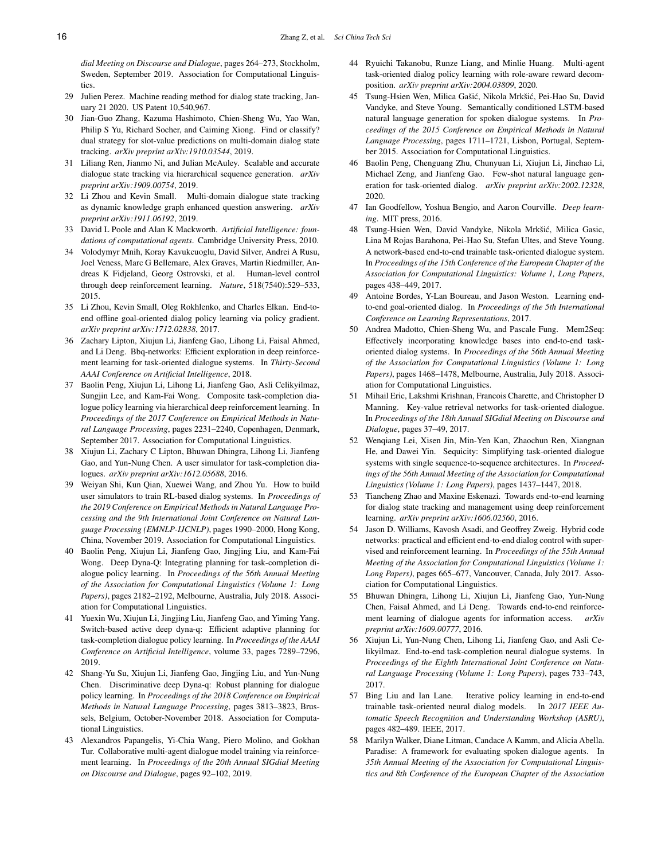*dial Meeting on Discourse and Dialogue*, pages 264–273, Stockholm, Sweden, September 2019. Association for Computational Linguistics.

- <span id="page-15-0"></span>29 Julien Perez. Machine reading method for dialog state tracking, January 21 2020. US Patent 10,540,967.
- <span id="page-15-1"></span>30 Jian-Guo Zhang, Kazuma Hashimoto, Chien-Sheng Wu, Yao Wan, Philip S Yu, Richard Socher, and Caiming Xiong. Find or classify? dual strategy for slot-value predictions on multi-domain dialog state tracking. *arXiv preprint arXiv:1910.03544*, 2019.
- <span id="page-15-2"></span>31 Liliang Ren, Jianmo Ni, and Julian McAuley. Scalable and accurate dialogue state tracking via hierarchical sequence generation. *arXiv preprint arXiv:1909.00754*, 2019.
- <span id="page-15-3"></span>32 Li Zhou and Kevin Small. Multi-domain dialogue state tracking as dynamic knowledge graph enhanced question answering. *arXiv preprint arXiv:1911.06192*, 2019.
- <span id="page-15-4"></span>33 David L Poole and Alan K Mackworth. *Artificial Intelligence: foundations of computational agents*. Cambridge University Press, 2010.
- <span id="page-15-5"></span>34 Volodymyr Mnih, Koray Kavukcuoglu, David Silver, Andrei A Rusu, Joel Veness, Marc G Bellemare, Alex Graves, Martin Riedmiller, Andreas K Fidjeland, Georg Ostrovski, et al. Human-level control through deep reinforcement learning. *Nature*, 518(7540):529–533, 2015.
- 35 Li Zhou, Kevin Small, Oleg Rokhlenko, and Charles Elkan. End-toend offline goal-oriented dialog policy learning via policy gradient. *arXiv preprint arXiv:1712.02838*, 2017.
- <span id="page-15-6"></span>36 Zachary Lipton, Xiujun Li, Jianfeng Gao, Lihong Li, Faisal Ahmed, and Li Deng. Bbq-networks: Efficient exploration in deep reinforcement learning for task-oriented dialogue systems. In *Thirty-Second AAAI Conference on Artificial Intelligence*, 2018.
- <span id="page-15-7"></span>37 Baolin Peng, Xiujun Li, Lihong Li, Jianfeng Gao, Asli Celikyilmaz, Sungjin Lee, and Kam-Fai Wong. Composite task-completion dialogue policy learning via hierarchical deep reinforcement learning. In *Proceedings of the 2017 Conference on Empirical Methods in Natural Language Processing*, pages 2231–2240, Copenhagen, Denmark, September 2017. Association for Computational Linguistics.
- <span id="page-15-8"></span>38 Xiujun Li, Zachary C Lipton, Bhuwan Dhingra, Lihong Li, Jianfeng Gao, and Yun-Nung Chen. A user simulator for task-completion dialogues. *arXiv preprint arXiv:1612.05688*, 2016.
- <span id="page-15-9"></span>39 Weiyan Shi, Kun Qian, Xuewei Wang, and Zhou Yu. How to build user simulators to train RL-based dialog systems. In *Proceedings of the 2019 Conference on Empirical Methods in Natural Language Processing and the 9th International Joint Conference on Natural Language Processing (EMNLP-IJCNLP)*, pages 1990–2000, Hong Kong, China, November 2019. Association for Computational Linguistics.
- <span id="page-15-10"></span>40 Baolin Peng, Xiujun Li, Jianfeng Gao, Jingjing Liu, and Kam-Fai Wong. Deep Dyna-Q: Integrating planning for task-completion dialogue policy learning. In *Proceedings of the 56th Annual Meeting of the Association for Computational Linguistics (Volume 1: Long Papers)*, pages 2182–2192, Melbourne, Australia, July 2018. Association for Computational Linguistics.
- <span id="page-15-27"></span>41 Yuexin Wu, Xiujun Li, Jingjing Liu, Jianfeng Gao, and Yiming Yang. Switch-based active deep dyna-q: Efficient adaptive planning for task-completion dialogue policy learning. In *Proceedings of the AAAI Conference on Artificial Intelligence*, volume 33, pages 7289–7296, 2019.
- <span id="page-15-11"></span>42 Shang-Yu Su, Xiujun Li, Jianfeng Gao, Jingjing Liu, and Yun-Nung Chen. Discriminative deep Dyna-q: Robust planning for dialogue policy learning. In *Proceedings of the 2018 Conference on Empirical Methods in Natural Language Processing*, pages 3813–3823, Brussels, Belgium, October-November 2018. Association for Computational Linguistics.
- <span id="page-15-12"></span>43 Alexandros Papangelis, Yi-Chia Wang, Piero Molino, and Gokhan Tur. Collaborative multi-agent dialogue model training via reinforcement learning. In *Proceedings of the 20th Annual SIGdial Meeting on Discourse and Dialogue*, pages 92–102, 2019.
- <span id="page-15-13"></span>44 Ryuichi Takanobu, Runze Liang, and Minlie Huang. Multi-agent task-oriented dialog policy learning with role-aware reward decomposition. *arXiv preprint arXiv:2004.03809*, 2020.
- <span id="page-15-14"></span>45 Tsung-Hsien Wen, Milica Gašić, Nikola Mrkšić, Pei-Hao Su, David Vandyke, and Steve Young. Semantically conditioned LSTM-based natural language generation for spoken dialogue systems. In *Proceedings of the 2015 Conference on Empirical Methods in Natural Language Processing*, pages 1711–1721, Lisbon, Portugal, September 2015. Association for Computational Linguistics.
- <span id="page-15-15"></span>46 Baolin Peng, Chenguang Zhu, Chunyuan Li, Xiujun Li, Jinchao Li, Michael Zeng, and Jianfeng Gao. Few-shot natural language generation for task-oriented dialog. *arXiv preprint arXiv:2002.12328*, 2020.
- <span id="page-15-16"></span>47 Ian Goodfellow, Yoshua Bengio, and Aaron Courville. *Deep learning*. MIT press, 2016.
- <span id="page-15-17"></span>48 Tsung-Hsien Wen, David Vandyke, Nikola Mrkšić, Milica Gasic, Lina M Rojas Barahona, Pei-Hao Su, Stefan Ultes, and Steve Young. A network-based end-to-end trainable task-oriented dialogue system. In *Proceedings of the 15th Conference of the European Chapter of the Association for Computational Linguistics: Volume 1, Long Papers*, pages 438–449, 2017.
- <span id="page-15-18"></span>49 Antoine Bordes, Y-Lan Boureau, and Jason Weston. Learning endto-end goal-oriented dialog. In *Proceedings of the 5th International Conference on Learning Representations*, 2017.
- <span id="page-15-19"></span>50 Andrea Madotto, Chien-Sheng Wu, and Pascale Fung. Mem2Seq: Effectively incorporating knowledge bases into end-to-end taskoriented dialog systems. In *Proceedings of the 56th Annual Meeting of the Association for Computational Linguistics (Volume 1: Long Papers)*, pages 1468–1478, Melbourne, Australia, July 2018. Association for Computational Linguistics.
- <span id="page-15-20"></span>51 Mihail Eric, Lakshmi Krishnan, Francois Charette, and Christopher D Manning. Key-value retrieval networks for task-oriented dialogue. In *Proceedings of the 18th Annual SIGdial Meeting on Discourse and Dialogue*, pages 37–49, 2017.
- <span id="page-15-21"></span>52 Wenqiang Lei, Xisen Jin, Min-Yen Kan, Zhaochun Ren, Xiangnan He, and Dawei Yin. Sequicity: Simplifying task-oriented dialogue systems with single sequence-to-sequence architectures. In *Proceedings of the 56th Annual Meeting of the Association for Computational Linguistics (Volume 1: Long Papers)*, pages 1437–1447, 2018.
- <span id="page-15-23"></span>53 Tiancheng Zhao and Maxine Eskenazi. Towards end-to-end learning for dialog state tracking and management using deep reinforcement learning. *arXiv preprint arXiv:1606.02560*, 2016.
- <span id="page-15-24"></span>54 Jason D. Williams, Kavosh Asadi, and Geoffrey Zweig. Hybrid code networks: practical and efficient end-to-end dialog control with supervised and reinforcement learning. In *Proceedings of the 55th Annual Meeting of the Association for Computational Linguistics (Volume 1: Long Papers)*, pages 665–677, Vancouver, Canada, July 2017. Association for Computational Linguistics.
- <span id="page-15-26"></span>55 Bhuwan Dhingra, Lihong Li, Xiujun Li, Jianfeng Gao, Yun-Nung Chen, Faisal Ahmed, and Li Deng. Towards end-to-end reinforcement learning of dialogue agents for information access. *arXiv preprint arXiv:1609.00777*, 2016.
- 56 Xiujun Li, Yun-Nung Chen, Lihong Li, Jianfeng Gao, and Asli Celikyilmaz. End-to-end task-completion neural dialogue systems. In *Proceedings of the Eighth International Joint Conference on Natural Language Processing (Volume 1: Long Papers)*, pages 733–743, 2017.
- <span id="page-15-22"></span>57 Bing Liu and Ian Lane. Iterative policy learning in end-to-end trainable task-oriented neural dialog models. In *2017 IEEE Automatic Speech Recognition and Understanding Workshop (ASRU)*, pages 482–489. IEEE, 2017.
- <span id="page-15-25"></span>58 Marilyn Walker, Diane Litman, Candace A Kamm, and Alicia Abella. Paradise: A framework for evaluating spoken dialogue agents. In *35th Annual Meeting of the Association for Computational Linguistics and 8th Conference of the European Chapter of the Association*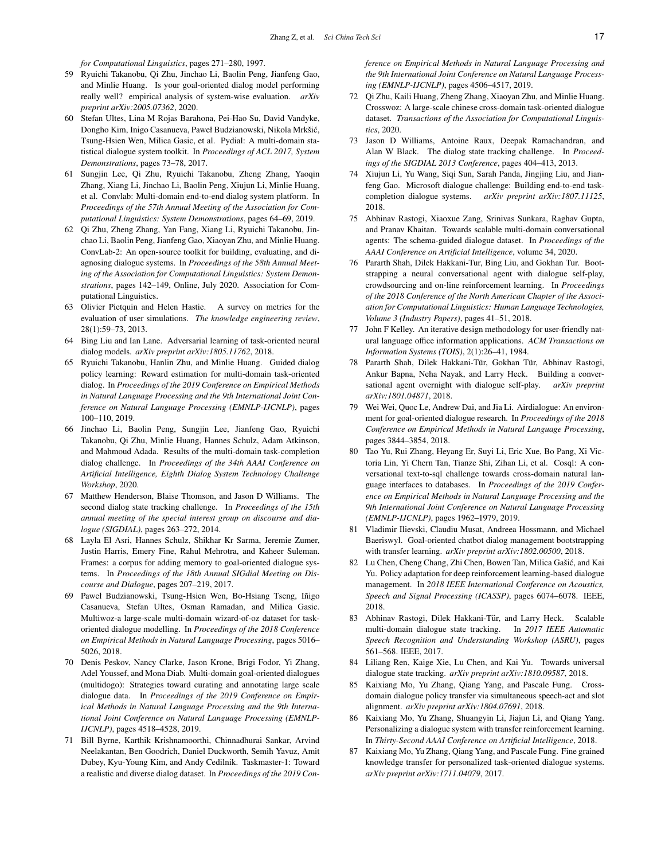*for Computational Linguistics*, pages 271–280, 1997.

- <span id="page-16-0"></span>59 Ryuichi Takanobu, Qi Zhu, Jinchao Li, Baolin Peng, Jianfeng Gao, and Minlie Huang. Is your goal-oriented dialog model performing really well? empirical analysis of system-wise evaluation. *arXiv preprint arXiv:2005.07362*, 2020.
- <span id="page-16-1"></span>60 Stefan Ultes, Lina M Rojas Barahona, Pei-Hao Su, David Vandyke, Dongho Kim, Inigo Casanueva, Paweł Budzianowski, Nikola Mrkšić, Tsung-Hsien Wen, Milica Gasic, et al. Pydial: A multi-domain statistical dialogue system toolkit. In *Proceedings of ACL 2017, System Demonstrations*, pages 73–78, 2017.
- <span id="page-16-2"></span>61 Sungjin Lee, Qi Zhu, Ryuichi Takanobu, Zheng Zhang, Yaoqin Zhang, Xiang Li, Jinchao Li, Baolin Peng, Xiujun Li, Minlie Huang, et al. Convlab: Multi-domain end-to-end dialog system platform. In *Proceedings of the 57th Annual Meeting of the Association for Computational Linguistics: System Demonstrations*, pages 64–69, 2019.
- <span id="page-16-3"></span>62 Qi Zhu, Zheng Zhang, Yan Fang, Xiang Li, Ryuichi Takanobu, Jinchao Li, Baolin Peng, Jianfeng Gao, Xiaoyan Zhu, and Minlie Huang. ConvLab-2: An open-source toolkit for building, evaluating, and diagnosing dialogue systems. In *Proceedings of the 58th Annual Meeting of the Association for Computational Linguistics: System Demonstrations*, pages 142–149, Online, July 2020. Association for Computational Linguistics.
- <span id="page-16-4"></span>63 Olivier Pietquin and Helen Hastie. A survey on metrics for the evaluation of user simulations. *The knowledge engineering review*, 28(1):59–73, 2013.
- <span id="page-16-5"></span>64 Bing Liu and Ian Lane. Adversarial learning of task-oriented neural dialog models. *arXiv preprint arXiv:1805.11762*, 2018.
- <span id="page-16-6"></span>65 Ryuichi Takanobu, Hanlin Zhu, and Minlie Huang. Guided dialog policy learning: Reward estimation for multi-domain task-oriented dialog. In *Proceedings of the 2019 Conference on Empirical Methods in Natural Language Processing and the 9th International Joint Conference on Natural Language Processing (EMNLP-IJCNLP)*, pages 100–110, 2019.
- <span id="page-16-7"></span>66 Jinchao Li, Baolin Peng, Sungjin Lee, Jianfeng Gao, Ryuichi Takanobu, Qi Zhu, Minlie Huang, Hannes Schulz, Adam Atkinson, and Mahmoud Adada. Results of the multi-domain task-completion dialog challenge. In *Proceedings of the 34th AAAI Conference on Artificial Intelligence, Eighth Dialog System Technology Challenge Workshop*, 2020.
- <span id="page-16-8"></span>67 Matthew Henderson, Blaise Thomson, and Jason D Williams. The second dialog state tracking challenge. In *Proceedings of the 15th annual meeting of the special interest group on discourse and dialogue (SIGDIAL)*, pages 263–272, 2014.
- <span id="page-16-9"></span>68 Layla El Asri, Hannes Schulz, Shikhar Kr Sarma, Jeremie Zumer, Justin Harris, Emery Fine, Rahul Mehrotra, and Kaheer Suleman. Frames: a corpus for adding memory to goal-oriented dialogue systems. In *Proceedings of the 18th Annual SIGdial Meeting on Discourse and Dialogue*, pages 207–219, 2017.
- <span id="page-16-10"></span>69 Paweł Budzianowski, Tsung-Hsien Wen, Bo-Hsiang Tseng, Iñigo Casanueva, Stefan Ultes, Osman Ramadan, and Milica Gasic. Multiwoz-a large-scale multi-domain wizard-of-oz dataset for taskoriented dialogue modelling. In *Proceedings of the 2018 Conference on Empirical Methods in Natural Language Processing*, pages 5016– 5026, 2018.
- 70 Denis Peskov, Nancy Clarke, Jason Krone, Brigi Fodor, Yi Zhang, Adel Youssef, and Mona Diab. Multi-domain goal-oriented dialogues (multidogo): Strategies toward curating and annotating large scale dialogue data. In *Proceedings of the 2019 Conference on Empirical Methods in Natural Language Processing and the 9th International Joint Conference on Natural Language Processing (EMNLP-IJCNLP)*, pages 4518–4528, 2019.
- <span id="page-16-11"></span>71 Bill Byrne, Karthik Krishnamoorthi, Chinnadhurai Sankar, Arvind Neelakantan, Ben Goodrich, Daniel Duckworth, Semih Yavuz, Amit Dubey, Kyu-Young Kim, and Andy Cedilnik. Taskmaster-1: Toward a realistic and diverse dialog dataset. In *Proceedings of the 2019 Con-*

*ference on Empirical Methods in Natural Language Processing and the 9th International Joint Conference on Natural Language Processing (EMNLP-IJCNLP)*, pages 4506–4517, 2019.

- <span id="page-16-12"></span>72 Qi Zhu, Kaili Huang, Zheng Zhang, Xiaoyan Zhu, and Minlie Huang. Crosswoz: A large-scale chinese cross-domain task-oriented dialogue dataset. *Transactions of the Association for Computational Linguistics*, 2020.
- <span id="page-16-13"></span>73 Jason D Williams, Antoine Raux, Deepak Ramachandran, and Alan W Black. The dialog state tracking challenge. In *Proceedings of the SIGDIAL 2013 Conference*, pages 404–413, 2013.
- <span id="page-16-14"></span>74 Xiujun Li, Yu Wang, Siqi Sun, Sarah Panda, Jingjing Liu, and Jianfeng Gao. Microsoft dialogue challenge: Building end-to-end taskcompletion dialogue systems. *arXiv preprint arXiv:1807.11125*, 2018.
- <span id="page-16-15"></span>75 Abhinav Rastogi, Xiaoxue Zang, Srinivas Sunkara, Raghav Gupta, and Pranav Khaitan. Towards scalable multi-domain conversational agents: The schema-guided dialogue dataset. In *Proceedings of the AAAI Conference on Artificial Intelligence*, volume 34, 2020.
- <span id="page-16-16"></span>76 Pararth Shah, Dilek Hakkani-Tur, Bing Liu, and Gokhan Tur. Bootstrapping a neural conversational agent with dialogue self-play, crowdsourcing and on-line reinforcement learning. In *Proceedings of the 2018 Conference of the North American Chapter of the Association for Computational Linguistics: Human Language Technologies, Volume 3 (Industry Papers)*, pages 41–51, 2018.
- <span id="page-16-17"></span>77 John F Kelley. An iterative design methodology for user-friendly natural language office information applications. *ACM Transactions on Information Systems (TOIS)*, 2(1):26–41, 1984.
- <span id="page-16-18"></span>78 Pararth Shah, Dilek Hakkani-Tür, Gokhan Tür, Abhinav Rastogi, Ankur Bapna, Neha Nayak, and Larry Heck. Building a conversational agent overnight with dialogue self-play. *arXiv preprint arXiv:1801.04871*, 2018.
- <span id="page-16-19"></span>79 Wei Wei, Quoc Le, Andrew Dai, and Jia Li. Airdialogue: An environment for goal-oriented dialogue research. In *Proceedings of the 2018 Conference on Empirical Methods in Natural Language Processing*, pages 3844–3854, 2018.
- <span id="page-16-20"></span>80 Tao Yu, Rui Zhang, Heyang Er, Suyi Li, Eric Xue, Bo Pang, Xi Victoria Lin, Yi Chern Tan, Tianze Shi, Zihan Li, et al. Cosql: A conversational text-to-sql challenge towards cross-domain natural language interfaces to databases. In *Proceedings of the 2019 Conference on Empirical Methods in Natural Language Processing and the 9th International Joint Conference on Natural Language Processing (EMNLP-IJCNLP)*, pages 1962–1979, 2019.
- <span id="page-16-21"></span>81 Vladimir Ilievski, Claudiu Musat, Andreea Hossmann, and Michael Baeriswyl. Goal-oriented chatbot dialog management bootstrapping with transfer learning. *arXiv preprint arXiv:1802.00500*, 2018.
- <span id="page-16-22"></span>82 Lu Chen, Cheng Chang, Zhi Chen, Bowen Tan, Milica Gašić, and Kai Yu. Policy adaptation for deep reinforcement learning-based dialogue management. In *2018 IEEE International Conference on Acoustics, Speech and Signal Processing (ICASSP)*, pages 6074–6078. IEEE, 2018.
- <span id="page-16-23"></span>83 Abhinav Rastogi, Dilek Hakkani-Tür, and Larry Heck. Scalable multi-domain dialogue state tracking. In *2017 IEEE Automatic Speech Recognition and Understanding Workshop (ASRU)*, pages 561–568. IEEE, 2017.
- <span id="page-16-24"></span>84 Liliang Ren, Kaige Xie, Lu Chen, and Kai Yu. Towards universal dialogue state tracking. *arXiv preprint arXiv:1810.09587*, 2018.
- <span id="page-16-25"></span>85 Kaixiang Mo, Yu Zhang, Qiang Yang, and Pascale Fung. Crossdomain dialogue policy transfer via simultaneous speech-act and slot alignment. *arXiv preprint arXiv:1804.07691*, 2018.
- <span id="page-16-26"></span>86 Kaixiang Mo, Yu Zhang, Shuangyin Li, Jiajun Li, and Qiang Yang. Personalizing a dialogue system with transfer reinforcement learning. In *Thirty-Second AAAI Conference on Artificial Intelligence*, 2018.
- <span id="page-16-27"></span>87 Kaixiang Mo, Yu Zhang, Qiang Yang, and Pascale Fung. Fine grained knowledge transfer for personalized task-oriented dialogue systems. *arXiv preprint arXiv:1711.04079*, 2017.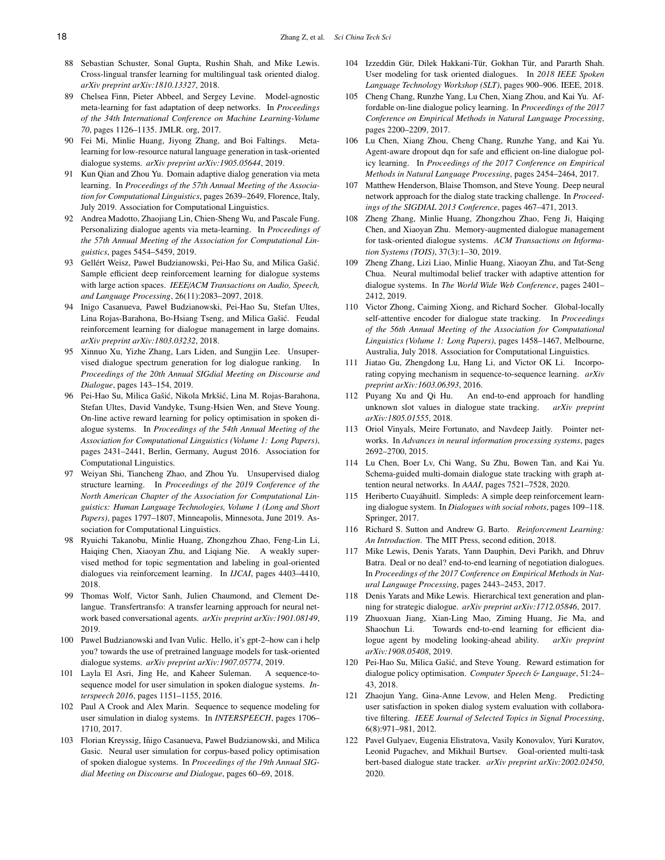- <span id="page-17-0"></span>88 Sebastian Schuster, Sonal Gupta, Rushin Shah, and Mike Lewis. Cross-lingual transfer learning for multilingual task oriented dialog. *arXiv preprint arXiv:1810.13327*, 2018.
- <span id="page-17-1"></span>89 Chelsea Finn, Pieter Abbeel, and Sergey Levine. Model-agnostic meta-learning for fast adaptation of deep networks. In *Proceedings of the 34th International Conference on Machine Learning-Volume 70*, pages 1126–1135. JMLR. org, 2017.
- <span id="page-17-2"></span>90 Fei Mi, Minlie Huang, Jiyong Zhang, and Boi Faltings. Metalearning for low-resource natural language generation in task-oriented dialogue systems. *arXiv preprint arXiv:1905.05644*, 2019.
- <span id="page-17-3"></span>91 Kun Qian and Zhou Yu. Domain adaptive dialog generation via meta learning. In *Proceedings of the 57th Annual Meeting of the Association for Computational Linguistics*, pages 2639–2649, Florence, Italy, July 2019. Association for Computational Linguistics.
- <span id="page-17-4"></span>92 Andrea Madotto, Zhaojiang Lin, Chien-Sheng Wu, and Pascale Fung. Personalizing dialogue agents via meta-learning. In *Proceedings of the 57th Annual Meeting of the Association for Computational Linguistics*, pages 5454–5459, 2019.
- <span id="page-17-5"></span>93 Gellért Weisz, Paweł Budzianowski, Pei-Hao Su, and Milica Gašić. Sample efficient deep reinforcement learning for dialogue systems with large action spaces. *IEEE*/*ACM Transactions on Audio, Speech, and Language Processing*, 26(11):2083–2097, 2018.
- <span id="page-17-6"></span>94 Inigo Casanueva, Paweł Budzianowski, Pei-Hao Su, Stefan Ultes, Lina Rojas-Barahona, Bo-Hsiang Tseng, and Milica Gašić. Feudal reinforcement learning for dialogue management in large domains. *arXiv preprint arXiv:1803.03232*, 2018.
- <span id="page-17-7"></span>95 Xinnuo Xu, Yizhe Zhang, Lars Liden, and Sungjin Lee. Unsupervised dialogue spectrum generation for log dialogue ranking. In *Proceedings of the 20th Annual SIGdial Meeting on Discourse and Dialogue*, pages 143–154, 2019.
- <span id="page-17-8"></span>96 Pei-Hao Su, Milica Gašić, Nikola Mrkšić, Lina M. Rojas-Barahona, Stefan Ultes, David Vandyke, Tsung-Hsien Wen, and Steve Young. On-line active reward learning for policy optimisation in spoken dialogue systems. In *Proceedings of the 54th Annual Meeting of the Association for Computational Linguistics (Volume 1: Long Papers)*, pages 2431–2441, Berlin, Germany, August 2016. Association for Computational Linguistics.
- <span id="page-17-9"></span>97 Weiyan Shi, Tiancheng Zhao, and Zhou Yu. Unsupervised dialog structure learning. In *Proceedings of the 2019 Conference of the North American Chapter of the Association for Computational Linguistics: Human Language Technologies, Volume 1 (Long and Short Papers)*, pages 1797–1807, Minneapolis, Minnesota, June 2019. Association for Computational Linguistics.
- <span id="page-17-10"></span>98 Ryuichi Takanobu, Minlie Huang, Zhongzhou Zhao, Feng-Lin Li, Haiqing Chen, Xiaoyan Zhu, and Liqiang Nie. A weakly supervised method for topic segmentation and labeling in goal-oriented dialogues via reinforcement learning. In *IJCAI*, pages 4403–4410, 2018.
- <span id="page-17-11"></span>99 Thomas Wolf, Victor Sanh, Julien Chaumond, and Clement Delangue. Transfertransfo: A transfer learning approach for neural network based conversational agents. *arXiv preprint arXiv:1901.08149*, 2019.
- <span id="page-17-12"></span>100 Pawel Budzianowski and Ivan Vulic. Hello, it's gpt-2–how can i help you? towards the use of pretrained language models for task-oriented dialogue systems. *arXiv preprint arXiv:1907.05774*, 2019.
- <span id="page-17-13"></span>101 Layla El Asri, Jing He, and Kaheer Suleman. A sequence-tosequence model for user simulation in spoken dialogue systems. *Interspeech 2016*, pages 1151–1155, 2016.
- <span id="page-17-14"></span>102 Paul A Crook and Alex Marin. Sequence to sequence modeling for user simulation in dialog systems. In *INTERSPEECH*, pages 1706– 1710, 2017.
- <span id="page-17-15"></span>103 Florian Kreyssig, Iñigo Casanueva, Paweł Budzianowski, and Milica Gasic. Neural user simulation for corpus-based policy optimisation of spoken dialogue systems. In *Proceedings of the 19th Annual SIGdial Meeting on Discourse and Dialogue*, pages 60–69, 2018.
- <span id="page-17-16"></span>104 Izzeddin Gür, Dilek Hakkani-Tür, Gokhan Tür, and Pararth Shah. User modeling for task oriented dialogues. In *2018 IEEE Spoken Language Technology Workshop (SLT)*, pages 900–906. IEEE, 2018.
- <span id="page-17-17"></span>105 Cheng Chang, Runzhe Yang, Lu Chen, Xiang Zhou, and Kai Yu. Affordable on-line dialogue policy learning. In *Proceedings of the 2017 Conference on Empirical Methods in Natural Language Processing*, pages 2200–2209, 2017.
- <span id="page-17-18"></span>106 Lu Chen, Xiang Zhou, Cheng Chang, Runzhe Yang, and Kai Yu. Agent-aware dropout dqn for safe and efficient on-line dialogue policy learning. In *Proceedings of the 2017 Conference on Empirical Methods in Natural Language Processing*, pages 2454–2464, 2017.
- <span id="page-17-19"></span>107 Matthew Henderson, Blaise Thomson, and Steve Young. Deep neural network approach for the dialog state tracking challenge. In *Proceedings of the SIGDIAL 2013 Conference*, pages 467–471, 2013.
- 108 Zheng Zhang, Minlie Huang, Zhongzhou Zhao, Feng Ji, Haiqing Chen, and Xiaoyan Zhu. Memory-augmented dialogue management for task-oriented dialogue systems. *ACM Transactions on Information Systems (TOIS)*, 37(3):1–30, 2019.
- <span id="page-17-20"></span>109 Zheng Zhang, Lizi Liao, Minlie Huang, Xiaoyan Zhu, and Tat-Seng Chua. Neural multimodal belief tracker with adaptive attention for dialogue systems. In *The World Wide Web Conference*, pages 2401– 2412, 2019.
- <span id="page-17-21"></span>110 Victor Zhong, Caiming Xiong, and Richard Socher. Global-locally self-attentive encoder for dialogue state tracking. In *Proceedings of the 56th Annual Meeting of the Association for Computational Linguistics (Volume 1: Long Papers)*, pages 1458–1467, Melbourne, Australia, July 2018. Association for Computational Linguistics.
- <span id="page-17-22"></span>111 Jiatao Gu, Zhengdong Lu, Hang Li, and Victor OK Li. Incorporating copying mechanism in sequence-to-sequence learning. *arXiv preprint arXiv:1603.06393*, 2016.
- <span id="page-17-23"></span>112 Puyang Xu and Qi Hu. An end-to-end approach for handling unknown slot values in dialogue state tracking. *arXiv preprint arXiv:1805.01555*, 2018.
- <span id="page-17-24"></span>113 Oriol Vinyals, Meire Fortunato, and Navdeep Jaitly. Pointer networks. In *Advances in neural information processing systems*, pages 2692–2700, 2015.
- <span id="page-17-25"></span>114 Lu Chen, Boer Lv, Chi Wang, Su Zhu, Bowen Tan, and Kai Yu. Schema-guided multi-domain dialogue state tracking with graph attention neural networks. In *AAAI*, pages 7521–7528, 2020.
- <span id="page-17-26"></span>115 Heriberto Cuayahuitl. Simpleds: A simple deep reinforcement learn- ´ ing dialogue system. In *Dialogues with social robots*, pages 109–118. Springer, 2017.
- <span id="page-17-27"></span>116 Richard S. Sutton and Andrew G. Barto. *Reinforcement Learning: An Introduction*. The MIT Press, second edition, 2018.
- <span id="page-17-28"></span>117 Mike Lewis, Denis Yarats, Yann Dauphin, Devi Parikh, and Dhruv Batra. Deal or no deal? end-to-end learning of negotiation dialogues. In *Proceedings of the 2017 Conference on Empirical Methods in Natural Language Processing*, pages 2443–2453, 2017.
- <span id="page-17-29"></span>118 Denis Yarats and Mike Lewis. Hierarchical text generation and planning for strategic dialogue. *arXiv preprint arXiv:1712.05846*, 2017.
- <span id="page-17-30"></span>119 Zhuoxuan Jiang, Xian-Ling Mao, Ziming Huang, Jie Ma, and Shaochun Li. Towards end-to-end learning for efficient dialogue agent by modeling looking-ahead ability. *arXiv preprint arXiv:1908.05408*, 2019.
- <span id="page-17-31"></span>120 Pei-Hao Su, Milica Gašić, and Steve Young. Reward estimation for dialogue policy optimisation. *Computer Speech* & *Language*, 51:24– 43, 2018.
- <span id="page-17-32"></span>121 Zhaojun Yang, Gina-Anne Levow, and Helen Meng. Predicting user satisfaction in spoken dialog system evaluation with collaborative filtering. *IEEE Journal of Selected Topics in Signal Processing*, 6(8):971–981, 2012.
- <span id="page-17-33"></span>122 Pavel Gulyaev, Eugenia Elistratova, Vasily Konovalov, Yuri Kuratov, Leonid Pugachev, and Mikhail Burtsev. Goal-oriented multi-task bert-based dialogue state tracker. *arXiv preprint arXiv:2002.02450*, 2020.